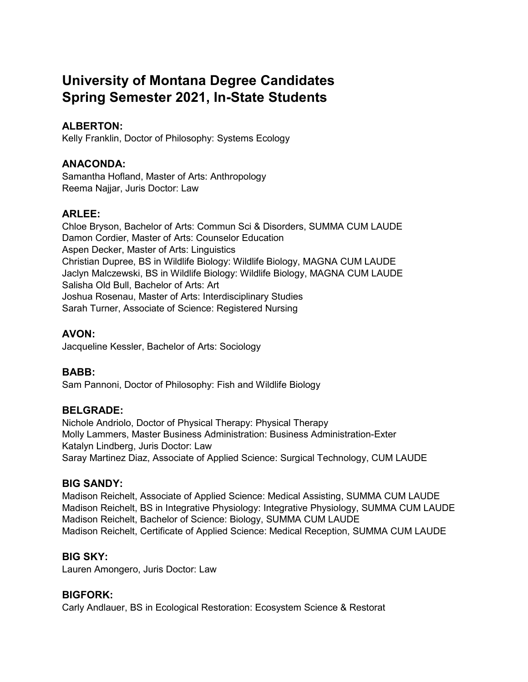# **University of Montana Degree Candidates Spring Semester 2021, In-State Students**

# **ALBERTON:**

Kelly Franklin, Doctor of Philosophy: Systems Ecology

# **ANACONDA:**

Samantha Hofland, Master of Arts: Anthropology Reema Najjar, Juris Doctor: Law

# **ARLEE:**

Chloe Bryson, Bachelor of Arts: Commun Sci & Disorders, SUMMA CUM LAUDE Damon Cordier, Master of Arts: Counselor Education Aspen Decker, Master of Arts: Linguistics Christian Dupree, BS in Wildlife Biology: Wildlife Biology, MAGNA CUM LAUDE Jaclyn Malczewski, BS in Wildlife Biology: Wildlife Biology, MAGNA CUM LAUDE Salisha Old Bull, Bachelor of Arts: Art Joshua Rosenau, Master of Arts: Interdisciplinary Studies Sarah Turner, Associate of Science: Registered Nursing

# **AVON:**

Jacqueline Kessler, Bachelor of Arts: Sociology

# **BABB:**

Sam Pannoni, Doctor of Philosophy: Fish and Wildlife Biology

# **BELGRADE:**

Nichole Andriolo, Doctor of Physical Therapy: Physical Therapy Molly Lammers, Master Business Administration: Business Administration-Exter Katalyn Lindberg, Juris Doctor: Law Saray Martinez Diaz, Associate of Applied Science: Surgical Technology, CUM LAUDE

# **BIG SANDY:**

Madison Reichelt, Associate of Applied Science: Medical Assisting, SUMMA CUM LAUDE Madison Reichelt, BS in Integrative Physiology: Integrative Physiology, SUMMA CUM LAUDE Madison Reichelt, Bachelor of Science: Biology, SUMMA CUM LAUDE Madison Reichelt, Certificate of Applied Science: Medical Reception, SUMMA CUM LAUDE

# **BIG SKY:**

Lauren Amongero, Juris Doctor: Law

# **BIGFORK:**

Carly Andlauer, BS in Ecological Restoration: Ecosystem Science & Restorat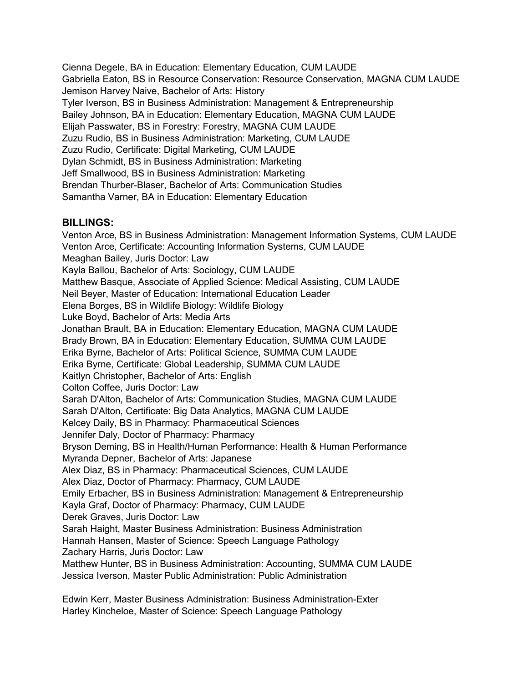Cienna Degele, BA in Education: Elementary Education, CUM LAUDE Gabriella Eaton, BS in Resource Conservation: Resource Conservation, MAGNA CUM LAUDE Jemison Harvey Naive, Bachelor of Arts: History Tyler Iverson, BS in Business Administration: Management & Entrepreneurship Bailey Johnson, BA in Education: Elementary Education, MAGNA CUM LAUDE Elijah Passwater, BS in Forestry: Forestry, MAGNA CUM LAUDE Zuzu Rudio, BS in Business Administration: Marketing, CUM LAUDE Zuzu Rudio, Certificate: Digital Marketing, CUM LAUDE Dylan Schmidt, BS in Business Administration: Marketing Jeff Smallwood, BS in Business Administration: Marketing Brendan Thurber-Blaser, Bachelor of Arts: Communication Studies Samantha Varner, BA in Education: Elementary Education

### **BILLINGS:**

Venton Arce, BS in Business Administration: Management Information Systems, CUM LAUDE Venton Arce, Certificate: Accounting Information Systems, CUM LAUDE Meaghan Bailey, Juris Doctor: Law Kayla Ballou, Bachelor of Arts: Sociology, CUM LAUDE Matthew Basque, Associate of Applied Science: Medical Assisting, CUM LAUDE Neil Beyer, Master of Education: International Education Leader Elena Borges, BS in Wildlife Biology: Wildlife Biology Luke Boyd, Bachelor of Arts: Media Arts Jonathan Brault, BA in Education: Elementary Education, MAGNA CUM LAUDE Brady Brown, BA in Education: Elementary Education, SUMMA CUM LAUDE Erika Byrne, Bachelor of Arts: Political Science, SUMMA CUM LAUDE Erika Byrne, Certificate: Global Leadership, SUMMA CUM LAUDE Kaitlyn Christopher, Bachelor of Arts: English Colton Coffee, Juris Doctor: Law Sarah D'Alton, Bachelor of Arts: Communication Studies, MAGNA CUM LAUDE Sarah D'Alton, Certificate: Big Data Analytics, MAGNA CUM LAUDE Kelcey Daily, BS in Pharmacy: Pharmaceutical Sciences Jennifer Daly, Doctor of Pharmacy: Pharmacy Bryson Deming, BS in Health/Human Performance: Health & Human Performance Myranda Depner, Bachelor of Arts: Japanese Alex Diaz, BS in Pharmacy: Pharmaceutical Sciences, CUM LAUDE Alex Diaz, Doctor of Pharmacy: Pharmacy, CUM LAUDE Emily Erbacher, BS in Business Administration: Management & Entrepreneurship Kayla Graf, Doctor of Pharmacy: Pharmacy, CUM LAUDE Derek Graves, Juris Doctor: Law Sarah Haight, Master Business Administration: Business Administration Hannah Hansen, Master of Science: Speech Language Pathology Zachary Harris, Juris Doctor: Law Matthew Hunter, BS in Business Administration: Accounting, SUMMA CUM LAUDE Jessica Iverson, Master Public Administration: Public Administration

Edwin Kerr, Master Business Administration: Business Administration-Exter Harley Kincheloe, Master of Science: Speech Language Pathology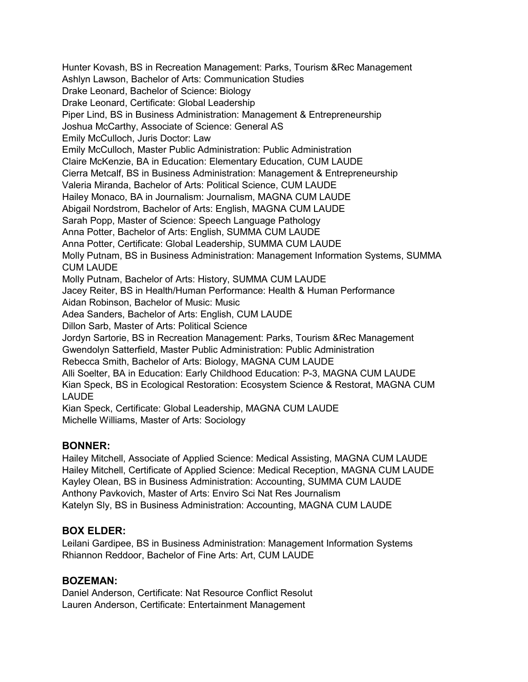Hunter Kovash, BS in Recreation Management: Parks, Tourism &Rec Management Ashlyn Lawson, Bachelor of Arts: Communication Studies Drake Leonard, Bachelor of Science: Biology Drake Leonard, Certificate: Global Leadership Piper Lind, BS in Business Administration: Management & Entrepreneurship Joshua McCarthy, Associate of Science: General AS Emily McCulloch, Juris Doctor: Law Emily McCulloch, Master Public Administration: Public Administration Claire McKenzie, BA in Education: Elementary Education, CUM LAUDE Cierra Metcalf, BS in Business Administration: Management & Entrepreneurship Valeria Miranda, Bachelor of Arts: Political Science, CUM LAUDE Hailey Monaco, BA in Journalism: Journalism, MAGNA CUM LAUDE Abigail Nordstrom, Bachelor of Arts: English, MAGNA CUM LAUDE Sarah Popp, Master of Science: Speech Language Pathology Anna Potter, Bachelor of Arts: English, SUMMA CUM LAUDE Anna Potter, Certificate: Global Leadership, SUMMA CUM LAUDE Molly Putnam, BS in Business Administration: Management Information Systems, SUMMA CUM LAUDE Molly Putnam, Bachelor of Arts: History, SUMMA CUM LAUDE Jacey Reiter, BS in Health/Human Performance: Health & Human Performance Aidan Robinson, Bachelor of Music: Music Adea Sanders, Bachelor of Arts: English, CUM LAUDE Dillon Sarb, Master of Arts: Political Science Jordyn Sartorie, BS in Recreation Management: Parks, Tourism &Rec Management Gwendolyn Satterfield, Master Public Administration: Public Administration Rebecca Smith, Bachelor of Arts: Biology, MAGNA CUM LAUDE Alli Soelter, BA in Education: Early Childhood Education: P-3, MAGNA CUM LAUDE Kian Speck, BS in Ecological Restoration: Ecosystem Science & Restorat, MAGNA CUM LAUDE Kian Speck, Certificate: Global Leadership, MAGNA CUM LAUDE Michelle Williams, Master of Arts: Sociology

# **BONNER:**

Hailey Mitchell, Associate of Applied Science: Medical Assisting, MAGNA CUM LAUDE Hailey Mitchell, Certificate of Applied Science: Medical Reception, MAGNA CUM LAUDE Kayley Olean, BS in Business Administration: Accounting, SUMMA CUM LAUDE Anthony Pavkovich, Master of Arts: Enviro Sci Nat Res Journalism Katelyn Sly, BS in Business Administration: Accounting, MAGNA CUM LAUDE

# **BOX ELDER:**

Leilani Gardipee, BS in Business Administration: Management Information Systems Rhiannon Reddoor, Bachelor of Fine Arts: Art, CUM LAUDE

# **BOZEMAN:**

Daniel Anderson, Certificate: Nat Resource Conflict Resolut Lauren Anderson, Certificate: Entertainment Management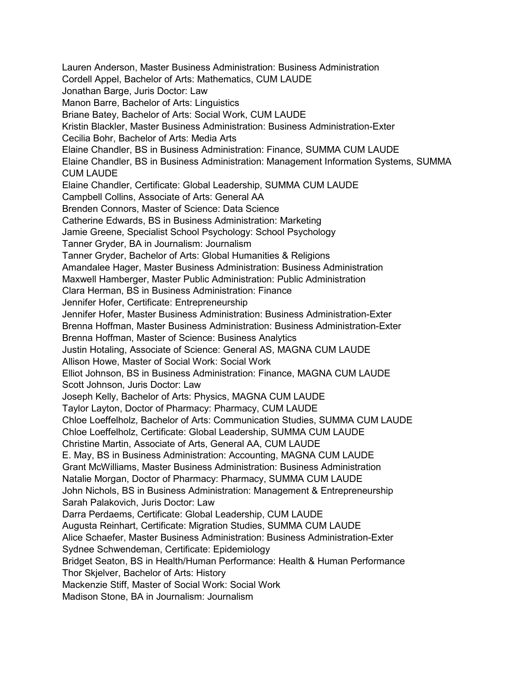Lauren Anderson, Master Business Administration: Business Administration Cordell Appel, Bachelor of Arts: Mathematics, CUM LAUDE Jonathan Barge, Juris Doctor: Law Manon Barre, Bachelor of Arts: Linguistics Briane Batey, Bachelor of Arts: Social Work, CUM LAUDE Kristin Blackler, Master Business Administration: Business Administration-Exter Cecilia Bohr, Bachelor of Arts: Media Arts Elaine Chandler, BS in Business Administration: Finance, SUMMA CUM LAUDE Elaine Chandler, BS in Business Administration: Management Information Systems, SUMMA CUM LAUDE Elaine Chandler, Certificate: Global Leadership, SUMMA CUM LAUDE Campbell Collins, Associate of Arts: General AA Brenden Connors, Master of Science: Data Science Catherine Edwards, BS in Business Administration: Marketing Jamie Greene, Specialist School Psychology: School Psychology Tanner Gryder, BA in Journalism: Journalism Tanner Gryder, Bachelor of Arts: Global Humanities & Religions Amandalee Hager, Master Business Administration: Business Administration Maxwell Hamberger, Master Public Administration: Public Administration Clara Herman, BS in Business Administration: Finance Jennifer Hofer, Certificate: Entrepreneurship Jennifer Hofer, Master Business Administration: Business Administration-Exter Brenna Hoffman, Master Business Administration: Business Administration-Exter Brenna Hoffman, Master of Science: Business Analytics Justin Hotaling, Associate of Science: General AS, MAGNA CUM LAUDE Allison Howe, Master of Social Work: Social Work Elliot Johnson, BS in Business Administration: Finance, MAGNA CUM LAUDE Scott Johnson, Juris Doctor: Law Joseph Kelly, Bachelor of Arts: Physics, MAGNA CUM LAUDE Taylor Layton, Doctor of Pharmacy: Pharmacy, CUM LAUDE Chloe Loeffelholz, Bachelor of Arts: Communication Studies, SUMMA CUM LAUDE Chloe Loeffelholz, Certificate: Global Leadership, SUMMA CUM LAUDE Christine Martin, Associate of Arts, General AA, CUM LAUDE E. May, BS in Business Administration: Accounting, MAGNA CUM LAUDE Grant McWilliams, Master Business Administration: Business Administration Natalie Morgan, Doctor of Pharmacy: Pharmacy, SUMMA CUM LAUDE John Nichols, BS in Business Administration: Management & Entrepreneurship Sarah Palakovich, Juris Doctor: Law Darra Perdaems, Certificate: Global Leadership, CUM LAUDE Augusta Reinhart, Certificate: Migration Studies, SUMMA CUM LAUDE Alice Schaefer, Master Business Administration: Business Administration-Exter Sydnee Schwendeman, Certificate: Epidemiology Bridget Seaton, BS in Health/Human Performance: Health & Human Performance Thor Skjelver, Bachelor of Arts: History Mackenzie Stiff, Master of Social Work: Social Work Madison Stone, BA in Journalism: Journalism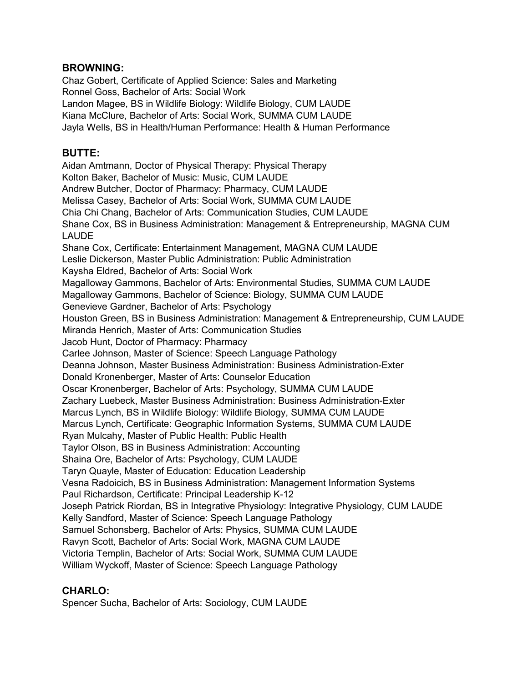### **BROWNING:**

Chaz Gobert, Certificate of Applied Science: Sales and Marketing Ronnel Goss, Bachelor of Arts: Social Work Landon Magee, BS in Wildlife Biology: Wildlife Biology, CUM LAUDE Kiana McClure, Bachelor of Arts: Social Work, SUMMA CUM LAUDE Jayla Wells, BS in Health/Human Performance: Health & Human Performance

### **BUTTE:**

Aidan Amtmann, Doctor of Physical Therapy: Physical Therapy Kolton Baker, Bachelor of Music: Music, CUM LAUDE Andrew Butcher, Doctor of Pharmacy: Pharmacy, CUM LAUDE Melissa Casey, Bachelor of Arts: Social Work, SUMMA CUM LAUDE Chia Chi Chang, Bachelor of Arts: Communication Studies, CUM LAUDE Shane Cox, BS in Business Administration: Management & Entrepreneurship, MAGNA CUM LAUDE Shane Cox, Certificate: Entertainment Management, MAGNA CUM LAUDE Leslie Dickerson, Master Public Administration: Public Administration Kaysha Eldred, Bachelor of Arts: Social Work Magalloway Gammons, Bachelor of Arts: Environmental Studies, SUMMA CUM LAUDE Magalloway Gammons, Bachelor of Science: Biology, SUMMA CUM LAUDE Genevieve Gardner, Bachelor of Arts: Psychology Houston Green, BS in Business Administration: Management & Entrepreneurship, CUM LAUDE Miranda Henrich, Master of Arts: Communication Studies Jacob Hunt, Doctor of Pharmacy: Pharmacy Carlee Johnson, Master of Science: Speech Language Pathology Deanna Johnson, Master Business Administration: Business Administration-Exter Donald Kronenberger, Master of Arts: Counselor Education Oscar Kronenberger, Bachelor of Arts: Psychology, SUMMA CUM LAUDE Zachary Luebeck, Master Business Administration: Business Administration-Exter Marcus Lynch, BS in Wildlife Biology: Wildlife Biology, SUMMA CUM LAUDE Marcus Lynch, Certificate: Geographic Information Systems, SUMMA CUM LAUDE Ryan Mulcahy, Master of Public Health: Public Health Taylor Olson, BS in Business Administration: Accounting Shaina Ore, Bachelor of Arts: Psychology, CUM LAUDE Taryn Quayle, Master of Education: Education Leadership Vesna Radoicich, BS in Business Administration: Management Information Systems Paul Richardson, Certificate: Principal Leadership K-12 Joseph Patrick Riordan, BS in Integrative Physiology: Integrative Physiology, CUM LAUDE Kelly Sandford, Master of Science: Speech Language Pathology Samuel Schonsberg, Bachelor of Arts: Physics, SUMMA CUM LAUDE Ravyn Scott, Bachelor of Arts: Social Work, MAGNA CUM LAUDE Victoria Templin, Bachelor of Arts: Social Work, SUMMA CUM LAUDE William Wyckoff, Master of Science: Speech Language Pathology

# **CHARLO:**

Spencer Sucha, Bachelor of Arts: Sociology, CUM LAUDE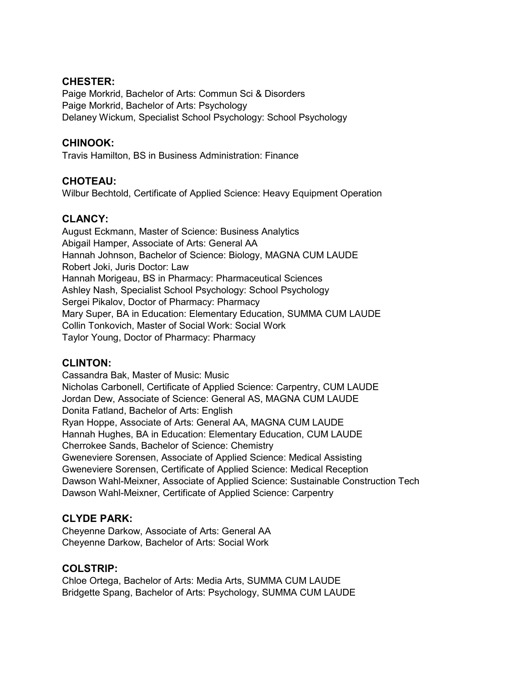### **CHESTER:**

Paige Morkrid, Bachelor of Arts: Commun Sci & Disorders Paige Morkrid, Bachelor of Arts: Psychology Delaney Wickum, Specialist School Psychology: School Psychology

### **CHINOOK:**

Travis Hamilton, BS in Business Administration: Finance

### **CHOTEAU:**

Wilbur Bechtold, Certificate of Applied Science: Heavy Equipment Operation

# **CLANCY:**

August Eckmann, Master of Science: Business Analytics Abigail Hamper, Associate of Arts: General AA Hannah Johnson, Bachelor of Science: Biology, MAGNA CUM LAUDE Robert Joki, Juris Doctor: Law Hannah Morigeau, BS in Pharmacy: Pharmaceutical Sciences Ashley Nash, Specialist School Psychology: School Psychology Sergei Pikalov, Doctor of Pharmacy: Pharmacy Mary Super, BA in Education: Elementary Education, SUMMA CUM LAUDE Collin Tonkovich, Master of Social Work: Social Work Taylor Young, Doctor of Pharmacy: Pharmacy

### **CLINTON:**

Cassandra Bak, Master of Music: Music Nicholas Carbonell, Certificate of Applied Science: Carpentry, CUM LAUDE Jordan Dew, Associate of Science: General AS, MAGNA CUM LAUDE Donita Fatland, Bachelor of Arts: English Ryan Hoppe, Associate of Arts: General AA, MAGNA CUM LAUDE Hannah Hughes, BA in Education: Elementary Education, CUM LAUDE Cherrokee Sands, Bachelor of Science: Chemistry Gweneviere Sorensen, Associate of Applied Science: Medical Assisting Gweneviere Sorensen, Certificate of Applied Science: Medical Reception Dawson Wahl-Meixner, Associate of Applied Science: Sustainable Construction Tech Dawson Wahl-Meixner, Certificate of Applied Science: Carpentry

### **CLYDE PARK:**

Cheyenne Darkow, Associate of Arts: General AA Cheyenne Darkow, Bachelor of Arts: Social Work

### **COLSTRIP:**

Chloe Ortega, Bachelor of Arts: Media Arts, SUMMA CUM LAUDE Bridgette Spang, Bachelor of Arts: Psychology, SUMMA CUM LAUDE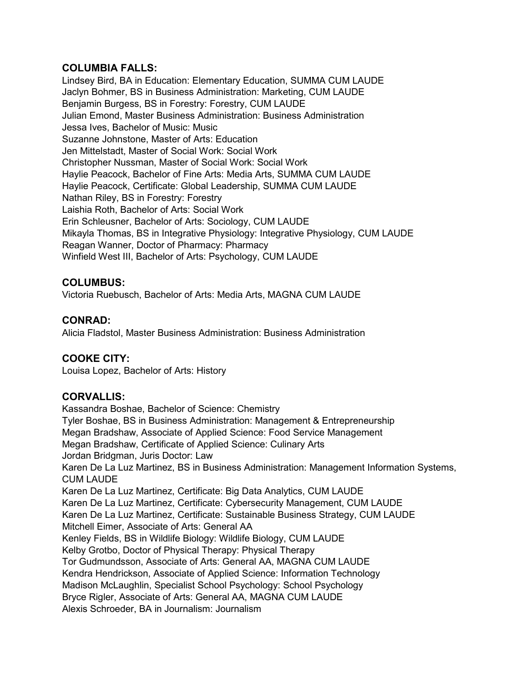### **COLUMBIA FALLS:**

Lindsey Bird, BA in Education: Elementary Education, SUMMA CUM LAUDE Jaclyn Bohmer, BS in Business Administration: Marketing, CUM LAUDE Benjamin Burgess, BS in Forestry: Forestry, CUM LAUDE Julian Emond, Master Business Administration: Business Administration Jessa Ives, Bachelor of Music: Music Suzanne Johnstone, Master of Arts: Education Jen Mittelstadt, Master of Social Work: Social Work Christopher Nussman, Master of Social Work: Social Work Haylie Peacock, Bachelor of Fine Arts: Media Arts, SUMMA CUM LAUDE Haylie Peacock, Certificate: Global Leadership, SUMMA CUM LAUDE Nathan Riley, BS in Forestry: Forestry Laishia Roth, Bachelor of Arts: Social Work Erin Schleusner, Bachelor of Arts: Sociology, CUM LAUDE Mikayla Thomas, BS in Integrative Physiology: Integrative Physiology, CUM LAUDE Reagan Wanner, Doctor of Pharmacy: Pharmacy Winfield West III, Bachelor of Arts: Psychology, CUM LAUDE

# **COLUMBUS:**

Victoria Ruebusch, Bachelor of Arts: Media Arts, MAGNA CUM LAUDE

### **CONRAD:**

Alicia Fladstol, Master Business Administration: Business Administration

# **COOKE CITY:**

Louisa Lopez, Bachelor of Arts: History

# **CORVALLIS:**

Kassandra Boshae, Bachelor of Science: Chemistry Tyler Boshae, BS in Business Administration: Management & Entrepreneurship Megan Bradshaw, Associate of Applied Science: Food Service Management Megan Bradshaw, Certificate of Applied Science: Culinary Arts Jordan Bridgman, Juris Doctor: Law Karen De La Luz Martinez, BS in Business Administration: Management Information Systems, CUM LAUDE Karen De La Luz Martinez, Certificate: Big Data Analytics, CUM LAUDE Karen De La Luz Martinez, Certificate: Cybersecurity Management, CUM LAUDE Karen De La Luz Martinez, Certificate: Sustainable Business Strategy, CUM LAUDE Mitchell Eimer, Associate of Arts: General AA Kenley Fields, BS in Wildlife Biology: Wildlife Biology, CUM LAUDE Kelby Grotbo, Doctor of Physical Therapy: Physical Therapy Tor Gudmundsson, Associate of Arts: General AA, MAGNA CUM LAUDE Kendra Hendrickson, Associate of Applied Science: Information Technology Madison McLaughlin, Specialist School Psychology: School Psychology Bryce Rigler, Associate of Arts: General AA, MAGNA CUM LAUDE Alexis Schroeder, BA in Journalism: Journalism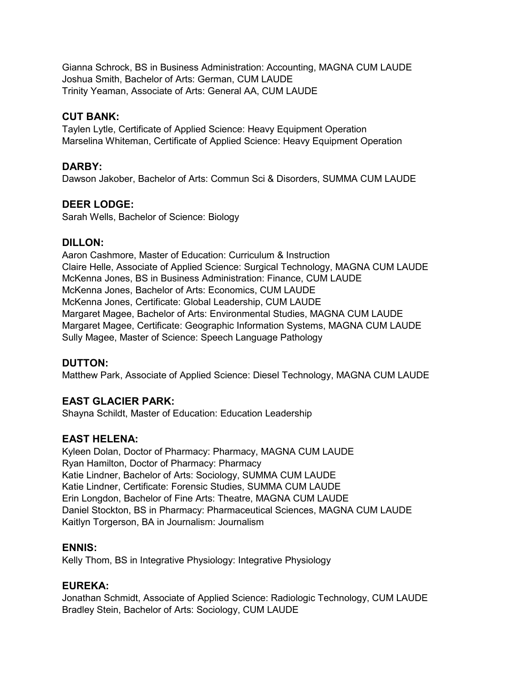Gianna Schrock, BS in Business Administration: Accounting, MAGNA CUM LAUDE Joshua Smith, Bachelor of Arts: German, CUM LAUDE Trinity Yeaman, Associate of Arts: General AA, CUM LAUDE

# **CUT BANK:**

Taylen Lytle, Certificate of Applied Science: Heavy Equipment Operation Marselina Whiteman, Certificate of Applied Science: Heavy Equipment Operation

# **DARBY:**

Dawson Jakober, Bachelor of Arts: Commun Sci & Disorders, SUMMA CUM LAUDE

### **DEER LODGE:**

Sarah Wells, Bachelor of Science: Biology

### **DILLON:**

Aaron Cashmore, Master of Education: Curriculum & Instruction Claire Helle, Associate of Applied Science: Surgical Technology, MAGNA CUM LAUDE McKenna Jones, BS in Business Administration: Finance, CUM LAUDE McKenna Jones, Bachelor of Arts: Economics, CUM LAUDE McKenna Jones, Certificate: Global Leadership, CUM LAUDE Margaret Magee, Bachelor of Arts: Environmental Studies, MAGNA CUM LAUDE Margaret Magee, Certificate: Geographic Information Systems, MAGNA CUM LAUDE Sully Magee, Master of Science: Speech Language Pathology

### **DUTTON:**

Matthew Park, Associate of Applied Science: Diesel Technology, MAGNA CUM LAUDE

# **EAST GLACIER PARK:**

Shayna Schildt, Master of Education: Education Leadership

### **EAST HELENA:**

Kyleen Dolan, Doctor of Pharmacy: Pharmacy, MAGNA CUM LAUDE Ryan Hamilton, Doctor of Pharmacy: Pharmacy Katie Lindner, Bachelor of Arts: Sociology, SUMMA CUM LAUDE Katie Lindner, Certificate: Forensic Studies, SUMMA CUM LAUDE Erin Longdon, Bachelor of Fine Arts: Theatre, MAGNA CUM LAUDE Daniel Stockton, BS in Pharmacy: Pharmaceutical Sciences, MAGNA CUM LAUDE Kaitlyn Torgerson, BA in Journalism: Journalism

### **ENNIS:**

Kelly Thom, BS in Integrative Physiology: Integrative Physiology

### **EUREKA:**

Jonathan Schmidt, Associate of Applied Science: Radiologic Technology, CUM LAUDE Bradley Stein, Bachelor of Arts: Sociology, CUM LAUDE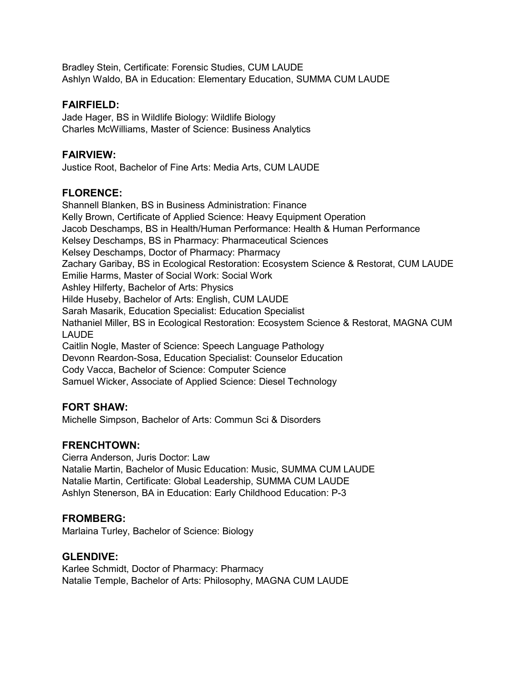Bradley Stein, Certificate: Forensic Studies, CUM LAUDE Ashlyn Waldo, BA in Education: Elementary Education, SUMMA CUM LAUDE

# **FAIRFIELD:**

Jade Hager, BS in Wildlife Biology: Wildlife Biology Charles McWilliams, Master of Science: Business Analytics

# **FAIRVIEW:**

Justice Root, Bachelor of Fine Arts: Media Arts, CUM LAUDE

# **FLORENCE:**

Shannell Blanken, BS in Business Administration: Finance Kelly Brown, Certificate of Applied Science: Heavy Equipment Operation Jacob Deschamps, BS in Health/Human Performance: Health & Human Performance Kelsey Deschamps, BS in Pharmacy: Pharmaceutical Sciences Kelsey Deschamps, Doctor of Pharmacy: Pharmacy Zachary Garibay, BS in Ecological Restoration: Ecosystem Science & Restorat, CUM LAUDE Emilie Harms, Master of Social Work: Social Work Ashley Hilferty, Bachelor of Arts: Physics Hilde Huseby, Bachelor of Arts: English, CUM LAUDE Sarah Masarik, Education Specialist: Education Specialist Nathaniel Miller, BS in Ecological Restoration: Ecosystem Science & Restorat, MAGNA CUM **LAUDE** Caitlin Nogle, Master of Science: Speech Language Pathology Devonn Reardon-Sosa, Education Specialist: Counselor Education Cody Vacca, Bachelor of Science: Computer Science Samuel Wicker, Associate of Applied Science: Diesel Technology

# **FORT SHAW:**

Michelle Simpson, Bachelor of Arts: Commun Sci & Disorders

# **FRENCHTOWN:**

Cierra Anderson, Juris Doctor: Law Natalie Martin, Bachelor of Music Education: Music, SUMMA CUM LAUDE Natalie Martin, Certificate: Global Leadership, SUMMA CUM LAUDE Ashlyn Stenerson, BA in Education: Early Childhood Education: P-3

# **FROMBERG:**

Marlaina Turley, Bachelor of Science: Biology

# **GLENDIVE:**

Karlee Schmidt, Doctor of Pharmacy: Pharmacy Natalie Temple, Bachelor of Arts: Philosophy, MAGNA CUM LAUDE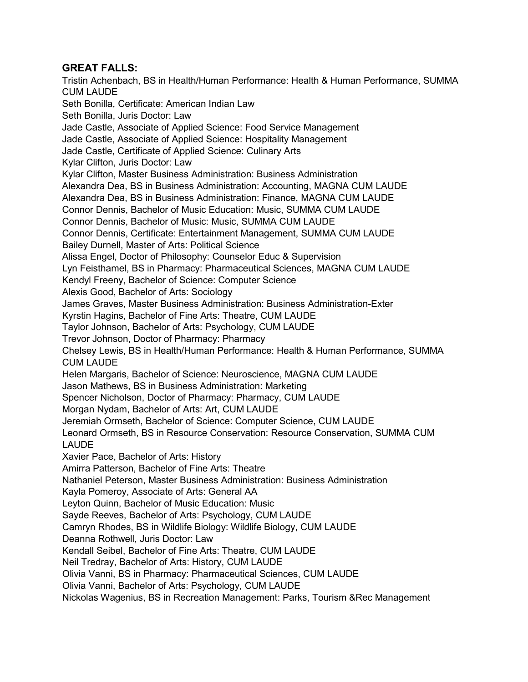# **GREAT FALLS:**

Tristin Achenbach, BS in Health/Human Performance: Health & Human Performance, SUMMA CUM LAUDE Seth Bonilla, Certificate: American Indian Law Seth Bonilla, Juris Doctor: Law Jade Castle, Associate of Applied Science: Food Service Management Jade Castle, Associate of Applied Science: Hospitality Management Jade Castle, Certificate of Applied Science: Culinary Arts Kylar Clifton, Juris Doctor: Law Kylar Clifton, Master Business Administration: Business Administration Alexandra Dea, BS in Business Administration: Accounting, MAGNA CUM LAUDE Alexandra Dea, BS in Business Administration: Finance, MAGNA CUM LAUDE Connor Dennis, Bachelor of Music Education: Music, SUMMA CUM LAUDE Connor Dennis, Bachelor of Music: Music, SUMMA CUM LAUDE Connor Dennis, Certificate: Entertainment Management, SUMMA CUM LAUDE Bailey Durnell, Master of Arts: Political Science Alissa Engel, Doctor of Philosophy: Counselor Educ & Supervision Lyn Feisthamel, BS in Pharmacy: Pharmaceutical Sciences, MAGNA CUM LAUDE Kendyl Freeny, Bachelor of Science: Computer Science Alexis Good, Bachelor of Arts: Sociology James Graves, Master Business Administration: Business Administration-Exter Kyrstin Hagins, Bachelor of Fine Arts: Theatre, CUM LAUDE Taylor Johnson, Bachelor of Arts: Psychology, CUM LAUDE Trevor Johnson, Doctor of Pharmacy: Pharmacy Chelsey Lewis, BS in Health/Human Performance: Health & Human Performance, SUMMA CUM LAUDE Helen Margaris, Bachelor of Science: Neuroscience, MAGNA CUM LAUDE Jason Mathews, BS in Business Administration: Marketing Spencer Nicholson, Doctor of Pharmacy: Pharmacy, CUM LAUDE Morgan Nydam, Bachelor of Arts: Art, CUM LAUDE Jeremiah Ormseth, Bachelor of Science: Computer Science, CUM LAUDE Leonard Ormseth, BS in Resource Conservation: Resource Conservation, SUMMA CUM LAUDE Xavier Pace, Bachelor of Arts: History Amirra Patterson, Bachelor of Fine Arts: Theatre Nathaniel Peterson, Master Business Administration: Business Administration Kayla Pomeroy, Associate of Arts: General AA Leyton Quinn, Bachelor of Music Education: Music Sayde Reeves, Bachelor of Arts: Psychology, CUM LAUDE Camryn Rhodes, BS in Wildlife Biology: Wildlife Biology, CUM LAUDE Deanna Rothwell, Juris Doctor: Law Kendall Seibel, Bachelor of Fine Arts: Theatre, CUM LAUDE Neil Tredray, Bachelor of Arts: History, CUM LAUDE Olivia Vanni, BS in Pharmacy: Pharmaceutical Sciences, CUM LAUDE Olivia Vanni, Bachelor of Arts: Psychology, CUM LAUDE Nickolas Wagenius, BS in Recreation Management: Parks, Tourism &Rec Management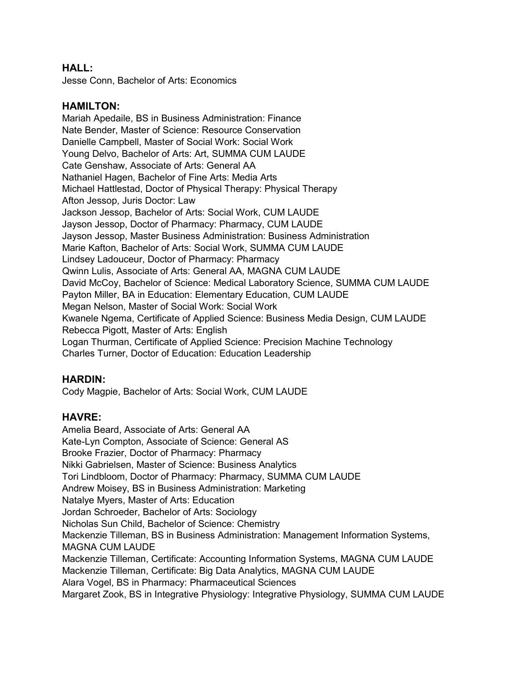### **HALL:**

Jesse Conn, Bachelor of Arts: Economics

### **HAMILTON:**

Mariah Apedaile, BS in Business Administration: Finance Nate Bender, Master of Science: Resource Conservation Danielle Campbell, Master of Social Work: Social Work Young Delvo, Bachelor of Arts: Art, SUMMA CUM LAUDE Cate Genshaw, Associate of Arts: General AA Nathaniel Hagen, Bachelor of Fine Arts: Media Arts Michael Hattlestad, Doctor of Physical Therapy: Physical Therapy Afton Jessop, Juris Doctor: Law Jackson Jessop, Bachelor of Arts: Social Work, CUM LAUDE Jayson Jessop, Doctor of Pharmacy: Pharmacy, CUM LAUDE Jayson Jessop, Master Business Administration: Business Administration Marie Kafton, Bachelor of Arts: Social Work, SUMMA CUM LAUDE Lindsey Ladouceur, Doctor of Pharmacy: Pharmacy Qwinn Lulis, Associate of Arts: General AA, MAGNA CUM LAUDE David McCoy, Bachelor of Science: Medical Laboratory Science, SUMMA CUM LAUDE Payton Miller, BA in Education: Elementary Education, CUM LAUDE Megan Nelson, Master of Social Work: Social Work Kwanele Ngema, Certificate of Applied Science: Business Media Design, CUM LAUDE Rebecca Pigott, Master of Arts: English Logan Thurman, Certificate of Applied Science: Precision Machine Technology Charles Turner, Doctor of Education: Education Leadership

# **HARDIN:**

Cody Magpie, Bachelor of Arts: Social Work, CUM LAUDE

### **HAVRE:**

Amelia Beard, Associate of Arts: General AA Kate-Lyn Compton, Associate of Science: General AS Brooke Frazier, Doctor of Pharmacy: Pharmacy Nikki Gabrielsen, Master of Science: Business Analytics Tori Lindbloom, Doctor of Pharmacy: Pharmacy, SUMMA CUM LAUDE Andrew Moisey, BS in Business Administration: Marketing Natalye Myers, Master of Arts: Education Jordan Schroeder, Bachelor of Arts: Sociology Nicholas Sun Child, Bachelor of Science: Chemistry Mackenzie Tilleman, BS in Business Administration: Management Information Systems, MAGNA CUM LAUDE Mackenzie Tilleman, Certificate: Accounting Information Systems, MAGNA CUM LAUDE Mackenzie Tilleman, Certificate: Big Data Analytics, MAGNA CUM LAUDE Alara Vogel, BS in Pharmacy: Pharmaceutical Sciences Margaret Zook, BS in Integrative Physiology: Integrative Physiology, SUMMA CUM LAUDE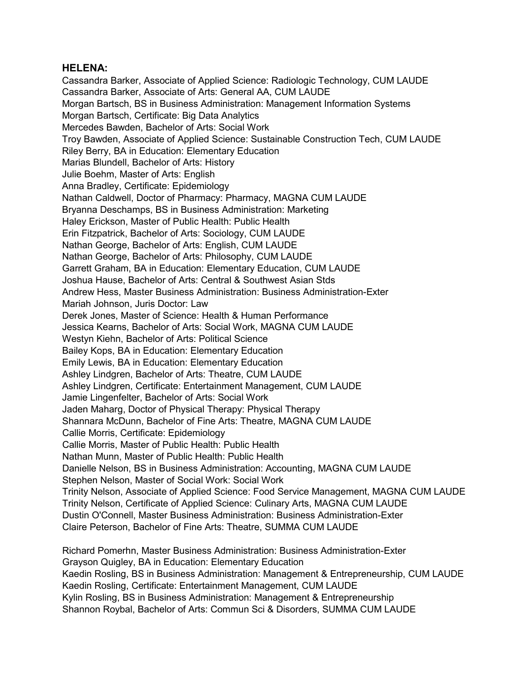### **HELENA:**

Cassandra Barker, Associate of Applied Science: Radiologic Technology, CUM LAUDE Cassandra Barker, Associate of Arts: General AA, CUM LAUDE Morgan Bartsch, BS in Business Administration: Management Information Systems Morgan Bartsch, Certificate: Big Data Analytics Mercedes Bawden, Bachelor of Arts: Social Work Troy Bawden, Associate of Applied Science: Sustainable Construction Tech, CUM LAUDE Riley Berry, BA in Education: Elementary Education Marias Blundell, Bachelor of Arts: History Julie Boehm, Master of Arts: English Anna Bradley, Certificate: Epidemiology Nathan Caldwell, Doctor of Pharmacy: Pharmacy, MAGNA CUM LAUDE Bryanna Deschamps, BS in Business Administration: Marketing Haley Erickson, Master of Public Health: Public Health Erin Fitzpatrick, Bachelor of Arts: Sociology, CUM LAUDE Nathan George, Bachelor of Arts: English, CUM LAUDE Nathan George, Bachelor of Arts: Philosophy, CUM LAUDE Garrett Graham, BA in Education: Elementary Education, CUM LAUDE Joshua Hause, Bachelor of Arts: Central & Southwest Asian Stds Andrew Hess, Master Business Administration: Business Administration-Exter Mariah Johnson, Juris Doctor: Law Derek Jones, Master of Science: Health & Human Performance Jessica Kearns, Bachelor of Arts: Social Work, MAGNA CUM LAUDE Westyn Kiehn, Bachelor of Arts: Political Science Bailey Kops, BA in Education: Elementary Education Emily Lewis, BA in Education: Elementary Education Ashley Lindgren, Bachelor of Arts: Theatre, CUM LAUDE Ashley Lindgren, Certificate: Entertainment Management, CUM LAUDE Jamie Lingenfelter, Bachelor of Arts: Social Work Jaden Maharg, Doctor of Physical Therapy: Physical Therapy Shannara McDunn, Bachelor of Fine Arts: Theatre, MAGNA CUM LAUDE Callie Morris, Certificate: Epidemiology Callie Morris, Master of Public Health: Public Health Nathan Munn, Master of Public Health: Public Health Danielle Nelson, BS in Business Administration: Accounting, MAGNA CUM LAUDE Stephen Nelson, Master of Social Work: Social Work Trinity Nelson, Associate of Applied Science: Food Service Management, MAGNA CUM LAUDE Trinity Nelson, Certificate of Applied Science: Culinary Arts, MAGNA CUM LAUDE Dustin O'Connell, Master Business Administration: Business Administration-Exter Claire Peterson, Bachelor of Fine Arts: Theatre, SUMMA CUM LAUDE

Richard Pomerhn, Master Business Administration: Business Administration-Exter Grayson Quigley, BA in Education: Elementary Education Kaedin Rosling, BS in Business Administration: Management & Entrepreneurship, CUM LAUDE Kaedin Rosling, Certificate: Entertainment Management, CUM LAUDE Kylin Rosling, BS in Business Administration: Management & Entrepreneurship Shannon Roybal, Bachelor of Arts: Commun Sci & Disorders, SUMMA CUM LAUDE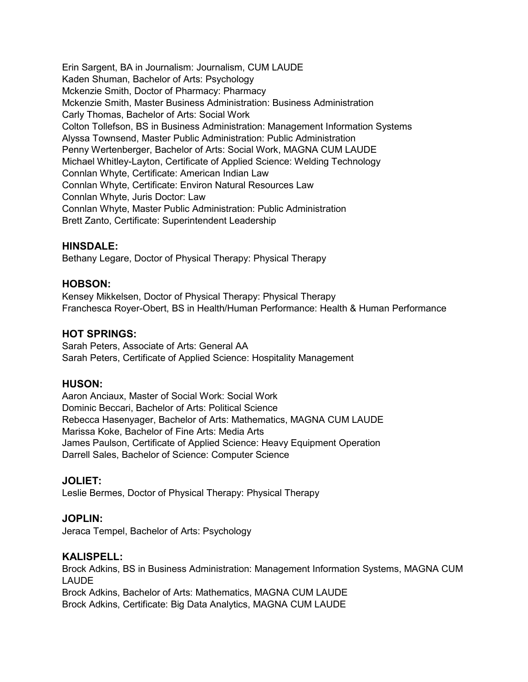Erin Sargent, BA in Journalism: Journalism, CUM LAUDE Kaden Shuman, Bachelor of Arts: Psychology Mckenzie Smith, Doctor of Pharmacy: Pharmacy Mckenzie Smith, Master Business Administration: Business Administration Carly Thomas, Bachelor of Arts: Social Work Colton Tollefson, BS in Business Administration: Management Information Systems Alyssa Townsend, Master Public Administration: Public Administration Penny Wertenberger, Bachelor of Arts: Social Work, MAGNA CUM LAUDE Michael Whitley-Layton, Certificate of Applied Science: Welding Technology Connlan Whyte, Certificate: American Indian Law Connlan Whyte, Certificate: Environ Natural Resources Law Connlan Whyte, Juris Doctor: Law Connlan Whyte, Master Public Administration: Public Administration Brett Zanto, Certificate: Superintendent Leadership

### **HINSDALE:**

Bethany Legare, Doctor of Physical Therapy: Physical Therapy

### **HOBSON:**

Kensey Mikkelsen, Doctor of Physical Therapy: Physical Therapy Franchesca Royer-Obert, BS in Health/Human Performance: Health & Human Performance

### **HOT SPRINGS:**

Sarah Peters, Associate of Arts: General AA Sarah Peters, Certificate of Applied Science: Hospitality Management

### **HUSON:**

Aaron Anciaux, Master of Social Work: Social Work Dominic Beccari, Bachelor of Arts: Political Science Rebecca Hasenyager, Bachelor of Arts: Mathematics, MAGNA CUM LAUDE Marissa Koke, Bachelor of Fine Arts: Media Arts James Paulson, Certificate of Applied Science: Heavy Equipment Operation Darrell Sales, Bachelor of Science: Computer Science

# **JOLIET:**

Leslie Bermes, Doctor of Physical Therapy: Physical Therapy

# **JOPLIN:**

Jeraca Tempel, Bachelor of Arts: Psychology

### **KALISPELL:**

Brock Adkins, BS in Business Administration: Management Information Systems, MAGNA CUM LAUDE Brock Adkins, Bachelor of Arts: Mathematics, MAGNA CUM LAUDE Brock Adkins, Certificate: Big Data Analytics, MAGNA CUM LAUDE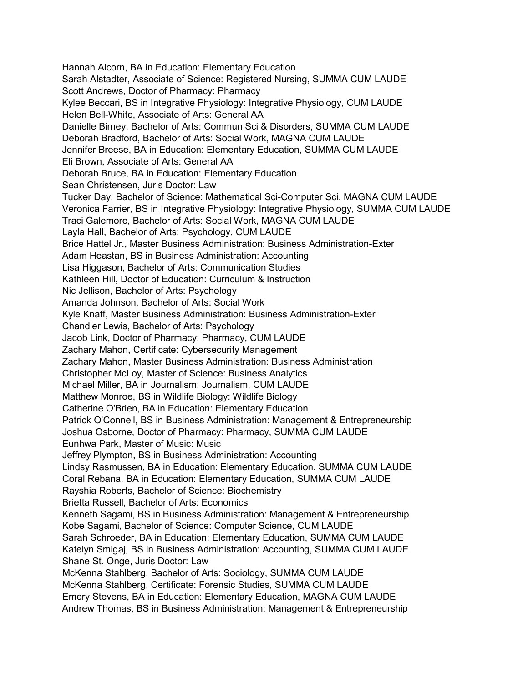Hannah Alcorn, BA in Education: Elementary Education Sarah Alstadter, Associate of Science: Registered Nursing, SUMMA CUM LAUDE Scott Andrews, Doctor of Pharmacy: Pharmacy Kylee Beccari, BS in Integrative Physiology: Integrative Physiology, CUM LAUDE Helen Bell-White, Associate of Arts: General AA Danielle Birney, Bachelor of Arts: Commun Sci & Disorders, SUMMA CUM LAUDE Deborah Bradford, Bachelor of Arts: Social Work, MAGNA CUM LAUDE Jennifer Breese, BA in Education: Elementary Education, SUMMA CUM LAUDE Eli Brown, Associate of Arts: General AA Deborah Bruce, BA in Education: Elementary Education Sean Christensen, Juris Doctor: Law Tucker Day, Bachelor of Science: Mathematical Sci-Computer Sci, MAGNA CUM LAUDE Veronica Farrier, BS in Integrative Physiology: Integrative Physiology, SUMMA CUM LAUDE Traci Galemore, Bachelor of Arts: Social Work, MAGNA CUM LAUDE Layla Hall, Bachelor of Arts: Psychology, CUM LAUDE Brice Hattel Jr., Master Business Administration: Business Administration-Exter Adam Heastan, BS in Business Administration: Accounting Lisa Higgason, Bachelor of Arts: Communication Studies Kathleen Hill, Doctor of Education: Curriculum & Instruction Nic Jellison, Bachelor of Arts: Psychology Amanda Johnson, Bachelor of Arts: Social Work Kyle Knaff, Master Business Administration: Business Administration-Exter Chandler Lewis, Bachelor of Arts: Psychology Jacob Link, Doctor of Pharmacy: Pharmacy, CUM LAUDE Zachary Mahon, Certificate: Cybersecurity Management Zachary Mahon, Master Business Administration: Business Administration Christopher McLoy, Master of Science: Business Analytics Michael Miller, BA in Journalism: Journalism, CUM LAUDE Matthew Monroe, BS in Wildlife Biology: Wildlife Biology Catherine O'Brien, BA in Education: Elementary Education Patrick O'Connell, BS in Business Administration: Management & Entrepreneurship Joshua Osborne, Doctor of Pharmacy: Pharmacy, SUMMA CUM LAUDE Eunhwa Park, Master of Music: Music Jeffrey Plympton, BS in Business Administration: Accounting Lindsy Rasmussen, BA in Education: Elementary Education, SUMMA CUM LAUDE Coral Rebana, BA in Education: Elementary Education, SUMMA CUM LAUDE Rayshia Roberts, Bachelor of Science: Biochemistry Brietta Russell, Bachelor of Arts: Economics Kenneth Sagami, BS in Business Administration: Management & Entrepreneurship Kobe Sagami, Bachelor of Science: Computer Science, CUM LAUDE Sarah Schroeder, BA in Education: Elementary Education, SUMMA CUM LAUDE Katelyn Smigaj, BS in Business Administration: Accounting, SUMMA CUM LAUDE Shane St. Onge, Juris Doctor: Law McKenna Stahlberg, Bachelor of Arts: Sociology, SUMMA CUM LAUDE McKenna Stahlberg, Certificate: Forensic Studies, SUMMA CUM LAUDE Emery Stevens, BA in Education: Elementary Education, MAGNA CUM LAUDE Andrew Thomas, BS in Business Administration: Management & Entrepreneurship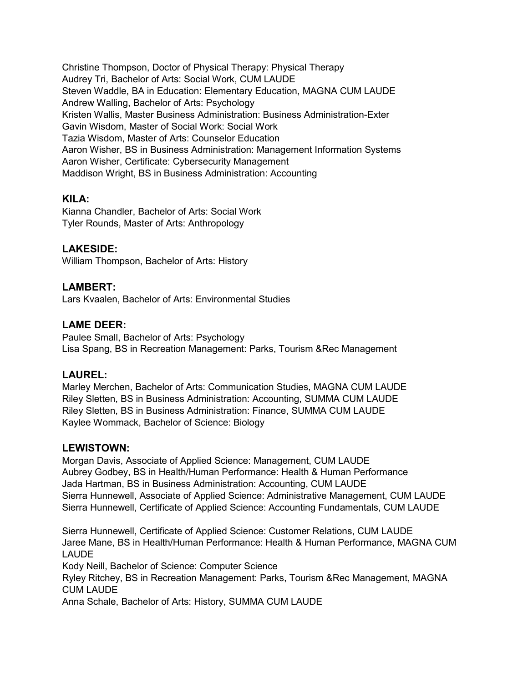Christine Thompson, Doctor of Physical Therapy: Physical Therapy Audrey Tri, Bachelor of Arts: Social Work, CUM LAUDE Steven Waddle, BA in Education: Elementary Education, MAGNA CUM LAUDE Andrew Walling, Bachelor of Arts: Psychology Kristen Wallis, Master Business Administration: Business Administration-Exter Gavin Wisdom, Master of Social Work: Social Work Tazia Wisdom, Master of Arts: Counselor Education Aaron Wisher, BS in Business Administration: Management Information Systems Aaron Wisher, Certificate: Cybersecurity Management Maddison Wright, BS in Business Administration: Accounting

# **KILA:**

Kianna Chandler, Bachelor of Arts: Social Work Tyler Rounds, Master of Arts: Anthropology

# **LAKESIDE:**

William Thompson, Bachelor of Arts: History

# **LAMBERT:**

Lars Kvaalen, Bachelor of Arts: Environmental Studies

# **LAME DEER:**

Paulee Small, Bachelor of Arts: Psychology Lisa Spang, BS in Recreation Management: Parks, Tourism &Rec Management

# **LAUREL:**

Marley Merchen, Bachelor of Arts: Communication Studies, MAGNA CUM LAUDE Riley Sletten, BS in Business Administration: Accounting, SUMMA CUM LAUDE Riley Sletten, BS in Business Administration: Finance, SUMMA CUM LAUDE Kaylee Wommack, Bachelor of Science: Biology

# **LEWISTOWN:**

Morgan Davis, Associate of Applied Science: Management, CUM LAUDE Aubrey Godbey, BS in Health/Human Performance: Health & Human Performance Jada Hartman, BS in Business Administration: Accounting, CUM LAUDE Sierra Hunnewell, Associate of Applied Science: Administrative Management, CUM LAUDE Sierra Hunnewell, Certificate of Applied Science: Accounting Fundamentals, CUM LAUDE

Sierra Hunnewell, Certificate of Applied Science: Customer Relations, CUM LAUDE Jaree Mane, BS in Health/Human Performance: Health & Human Performance, MAGNA CUM LAUDE

Kody Neill, Bachelor of Science: Computer Science

Ryley Ritchey, BS in Recreation Management: Parks, Tourism &Rec Management, MAGNA CUM LAUDE

Anna Schale, Bachelor of Arts: History, SUMMA CUM LAUDE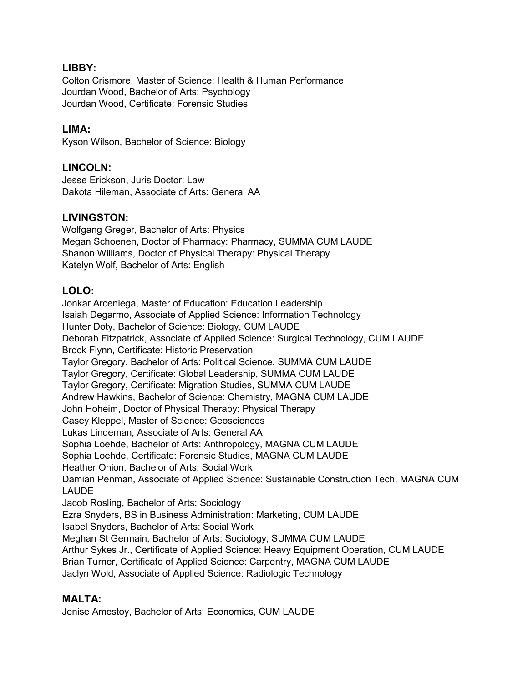# **LIBBY:**

Colton Crismore, Master of Science: Health & Human Performance Jourdan Wood, Bachelor of Arts: Psychology Jourdan Wood, Certificate: Forensic Studies

# **LIMA:**

Kyson Wilson, Bachelor of Science: Biology

# **LINCOLN:**

Jesse Erickson, Juris Doctor: Law Dakota Hileman, Associate of Arts: General AA

# **LIVINGSTON:**

Wolfgang Greger, Bachelor of Arts: Physics Megan Schoenen, Doctor of Pharmacy: Pharmacy, SUMMA CUM LAUDE Shanon Williams, Doctor of Physical Therapy: Physical Therapy Katelyn Wolf, Bachelor of Arts: English

# **LOLO:**

Jonkar Arceniega, Master of Education: Education Leadership Isaiah Degarmo, Associate of Applied Science: Information Technology Hunter Doty, Bachelor of Science: Biology, CUM LAUDE Deborah Fitzpatrick, Associate of Applied Science: Surgical Technology, CUM LAUDE Brock Flynn, Certificate: Historic Preservation Taylor Gregory, Bachelor of Arts: Political Science, SUMMA CUM LAUDE Taylor Gregory, Certificate: Global Leadership, SUMMA CUM LAUDE Taylor Gregory, Certificate: Migration Studies, SUMMA CUM LAUDE Andrew Hawkins, Bachelor of Science: Chemistry, MAGNA CUM LAUDE John Hoheim, Doctor of Physical Therapy: Physical Therapy Casey Kleppel, Master of Science: Geosciences Lukas Lindeman, Associate of Arts: General AA Sophia Loehde, Bachelor of Arts: Anthropology, MAGNA CUM LAUDE Sophia Loehde, Certificate: Forensic Studies, MAGNA CUM LAUDE Heather Onion, Bachelor of Arts: Social Work Damian Penman, Associate of Applied Science: Sustainable Construction Tech, MAGNA CUM LAUDE Jacob Rosling, Bachelor of Arts: Sociology Ezra Snyders, BS in Business Administration: Marketing, CUM LAUDE Isabel Snyders, Bachelor of Arts: Social Work Meghan St Germain, Bachelor of Arts: Sociology, SUMMA CUM LAUDE Arthur Sykes Jr., Certificate of Applied Science: Heavy Equipment Operation, CUM LAUDE Brian Turner, Certificate of Applied Science: Carpentry, MAGNA CUM LAUDE Jaclyn Wold, Associate of Applied Science: Radiologic Technology

# **MALTA:**

Jenise Amestoy, Bachelor of Arts: Economics, CUM LAUDE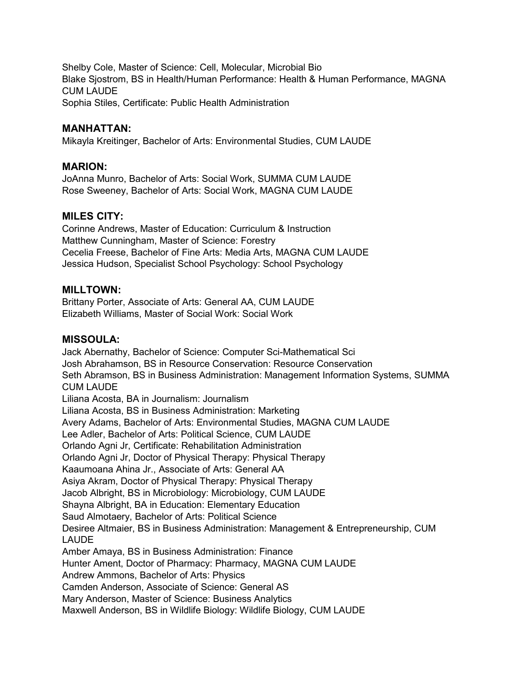Shelby Cole, Master of Science: Cell, Molecular, Microbial Bio Blake Sjostrom, BS in Health/Human Performance: Health & Human Performance, MAGNA CUM LAUDE Sophia Stiles, Certificate: Public Health Administration

### **MANHATTAN:**

Mikayla Kreitinger, Bachelor of Arts: Environmental Studies, CUM LAUDE

### **MARION:**

JoAnna Munro, Bachelor of Arts: Social Work, SUMMA CUM LAUDE Rose Sweeney, Bachelor of Arts: Social Work, MAGNA CUM LAUDE

### **MILES CITY:**

Corinne Andrews, Master of Education: Curriculum & Instruction Matthew Cunningham, Master of Science: Forestry Cecelia Freese, Bachelor of Fine Arts: Media Arts, MAGNA CUM LAUDE Jessica Hudson, Specialist School Psychology: School Psychology

### **MILLTOWN:**

Brittany Porter, Associate of Arts: General AA, CUM LAUDE Elizabeth Williams, Master of Social Work: Social Work

# **MISSOULA:**

Jack Abernathy, Bachelor of Science: Computer Sci-Mathematical Sci Josh Abrahamson, BS in Resource Conservation: Resource Conservation Seth Abramson, BS in Business Administration: Management Information Systems, SUMMA CUM LAUDE Liliana Acosta, BA in Journalism: Journalism Liliana Acosta, BS in Business Administration: Marketing Avery Adams, Bachelor of Arts: Environmental Studies, MAGNA CUM LAUDE Lee Adler, Bachelor of Arts: Political Science, CUM LAUDE Orlando Agni Jr, Certificate: Rehabilitation Administration Orlando Agni Jr, Doctor of Physical Therapy: Physical Therapy Kaaumoana Ahina Jr., Associate of Arts: General AA Asiya Akram, Doctor of Physical Therapy: Physical Therapy Jacob Albright, BS in Microbiology: Microbiology, CUM LAUDE Shayna Albright, BA in Education: Elementary Education Saud Almotaery, Bachelor of Arts: Political Science Desiree Altmaier, BS in Business Administration: Management & Entrepreneurship, CUM LAUDE Amber Amaya, BS in Business Administration: Finance Hunter Ament, Doctor of Pharmacy: Pharmacy, MAGNA CUM LAUDE Andrew Ammons, Bachelor of Arts: Physics Camden Anderson, Associate of Science: General AS Mary Anderson, Master of Science: Business Analytics Maxwell Anderson, BS in Wildlife Biology: Wildlife Biology, CUM LAUDE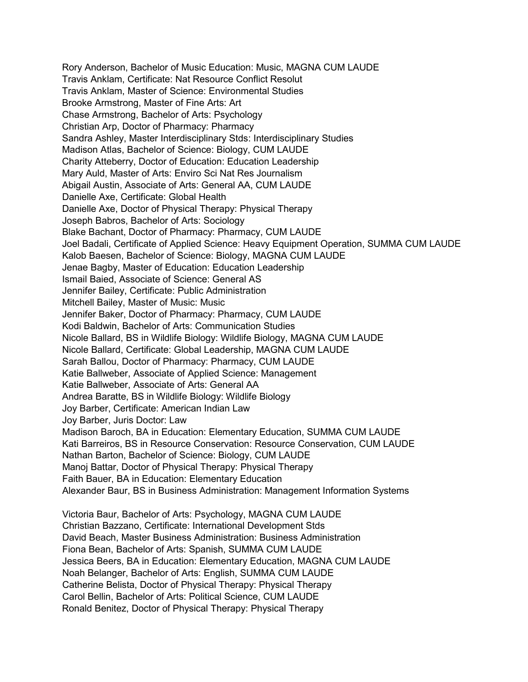Rory Anderson, Bachelor of Music Education: Music, MAGNA CUM LAUDE Travis Anklam, Certificate: Nat Resource Conflict Resolut Travis Anklam, Master of Science: Environmental Studies Brooke Armstrong, Master of Fine Arts: Art Chase Armstrong, Bachelor of Arts: Psychology Christian Arp, Doctor of Pharmacy: Pharmacy Sandra Ashley, Master Interdisciplinary Stds: Interdisciplinary Studies Madison Atlas, Bachelor of Science: Biology, CUM LAUDE Charity Atteberry, Doctor of Education: Education Leadership Mary Auld, Master of Arts: Enviro Sci Nat Res Journalism Abigail Austin, Associate of Arts: General AA, CUM LAUDE Danielle Axe, Certificate: Global Health Danielle Axe, Doctor of Physical Therapy: Physical Therapy Joseph Babros, Bachelor of Arts: Sociology Blake Bachant, Doctor of Pharmacy: Pharmacy, CUM LAUDE Joel Badali, Certificate of Applied Science: Heavy Equipment Operation, SUMMA CUM LAUDE Kalob Baesen, Bachelor of Science: Biology, MAGNA CUM LAUDE Jenae Bagby, Master of Education: Education Leadership Ismail Baied, Associate of Science: General AS Jennifer Bailey, Certificate: Public Administration Mitchell Bailey, Master of Music: Music Jennifer Baker, Doctor of Pharmacy: Pharmacy, CUM LAUDE Kodi Baldwin, Bachelor of Arts: Communication Studies Nicole Ballard, BS in Wildlife Biology: Wildlife Biology, MAGNA CUM LAUDE Nicole Ballard, Certificate: Global Leadership, MAGNA CUM LAUDE Sarah Ballou, Doctor of Pharmacy: Pharmacy, CUM LAUDE Katie Ballweber, Associate of Applied Science: Management Katie Ballweber, Associate of Arts: General AA Andrea Baratte, BS in Wildlife Biology: Wildlife Biology Joy Barber, Certificate: American Indian Law Joy Barber, Juris Doctor: Law Madison Baroch, BA in Education: Elementary Education, SUMMA CUM LAUDE Kati Barreiros, BS in Resource Conservation: Resource Conservation, CUM LAUDE Nathan Barton, Bachelor of Science: Biology, CUM LAUDE Manoj Battar, Doctor of Physical Therapy: Physical Therapy Faith Bauer, BA in Education: Elementary Education Alexander Baur, BS in Business Administration: Management Information Systems Victoria Baur, Bachelor of Arts: Psychology, MAGNA CUM LAUDE

Christian Bazzano, Certificate: International Development Stds David Beach, Master Business Administration: Business Administration Fiona Bean, Bachelor of Arts: Spanish, SUMMA CUM LAUDE Jessica Beers, BA in Education: Elementary Education, MAGNA CUM LAUDE Noah Belanger, Bachelor of Arts: English, SUMMA CUM LAUDE Catherine Belista, Doctor of Physical Therapy: Physical Therapy Carol Bellin, Bachelor of Arts: Political Science, CUM LAUDE Ronald Benitez, Doctor of Physical Therapy: Physical Therapy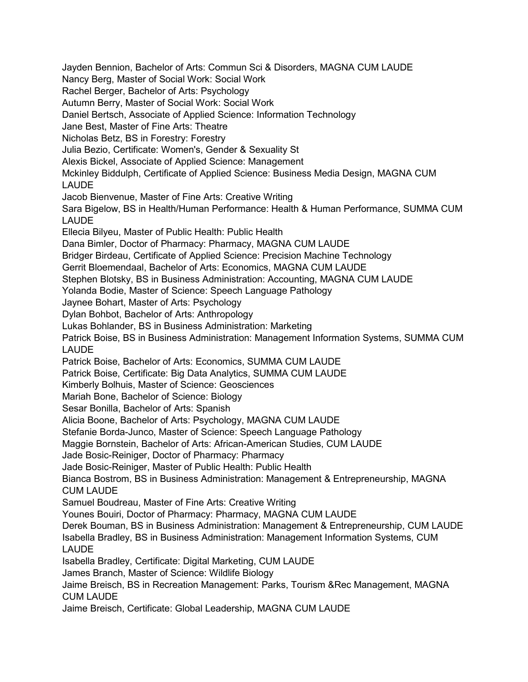Jayden Bennion, Bachelor of Arts: Commun Sci & Disorders, MAGNA CUM LAUDE Nancy Berg, Master of Social Work: Social Work Rachel Berger, Bachelor of Arts: Psychology Autumn Berry, Master of Social Work: Social Work Daniel Bertsch, Associate of Applied Science: Information Technology Jane Best, Master of Fine Arts: Theatre Nicholas Betz, BS in Forestry: Forestry Julia Bezio, Certificate: Women's, Gender & Sexuality St Alexis Bickel, Associate of Applied Science: Management Mckinley Biddulph, Certificate of Applied Science: Business Media Design, MAGNA CUM LAUDE Jacob Bienvenue, Master of Fine Arts: Creative Writing Sara Bigelow, BS in Health/Human Performance: Health & Human Performance, SUMMA CUM LAUDE Ellecia Bilyeu, Master of Public Health: Public Health Dana Bimler, Doctor of Pharmacy: Pharmacy, MAGNA CUM LAUDE Bridger Birdeau, Certificate of Applied Science: Precision Machine Technology Gerrit Bloemendaal, Bachelor of Arts: Economics, MAGNA CUM LAUDE Stephen Blotsky, BS in Business Administration: Accounting, MAGNA CUM LAUDE Yolanda Bodie, Master of Science: Speech Language Pathology Jaynee Bohart, Master of Arts: Psychology Dylan Bohbot, Bachelor of Arts: Anthropology Lukas Bohlander, BS in Business Administration: Marketing Patrick Boise, BS in Business Administration: Management Information Systems, SUMMA CUM LAUDE Patrick Boise, Bachelor of Arts: Economics, SUMMA CUM LAUDE Patrick Boise, Certificate: Big Data Analytics, SUMMA CUM LAUDE Kimberly Bolhuis, Master of Science: Geosciences Mariah Bone, Bachelor of Science: Biology Sesar Bonilla, Bachelor of Arts: Spanish Alicia Boone, Bachelor of Arts: Psychology, MAGNA CUM LAUDE Stefanie Borda-Junco, Master of Science: Speech Language Pathology Maggie Bornstein, Bachelor of Arts: African-American Studies, CUM LAUDE Jade Bosic-Reiniger, Doctor of Pharmacy: Pharmacy Jade Bosic-Reiniger, Master of Public Health: Public Health Bianca Bostrom, BS in Business Administration: Management & Entrepreneurship, MAGNA CUM LAUDE Samuel Boudreau, Master of Fine Arts: Creative Writing Younes Bouiri, Doctor of Pharmacy: Pharmacy, MAGNA CUM LAUDE Derek Bouman, BS in Business Administration: Management & Entrepreneurship, CUM LAUDE Isabella Bradley, BS in Business Administration: Management Information Systems, CUM LAUDE Isabella Bradley, Certificate: Digital Marketing, CUM LAUDE James Branch, Master of Science: Wildlife Biology Jaime Breisch, BS in Recreation Management: Parks, Tourism &Rec Management, MAGNA CUM LAUDE Jaime Breisch, Certificate: Global Leadership, MAGNA CUM LAUDE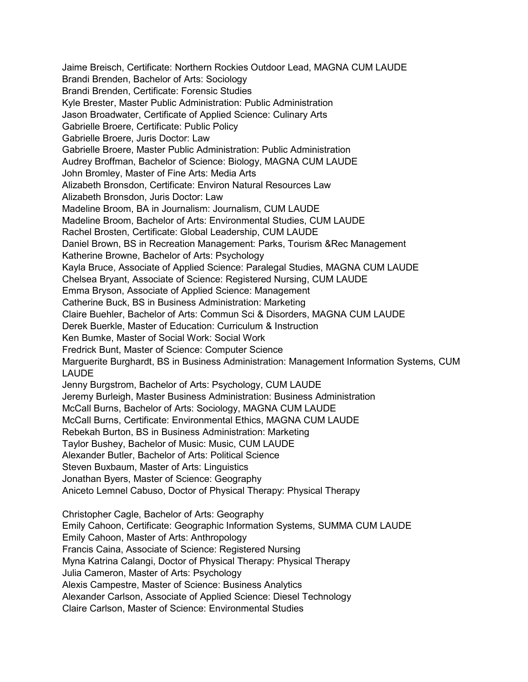Jaime Breisch, Certificate: Northern Rockies Outdoor Lead, MAGNA CUM LAUDE Brandi Brenden, Bachelor of Arts: Sociology Brandi Brenden, Certificate: Forensic Studies Kyle Brester, Master Public Administration: Public Administration Jason Broadwater, Certificate of Applied Science: Culinary Arts Gabrielle Broere, Certificate: Public Policy Gabrielle Broere, Juris Doctor: Law Gabrielle Broere, Master Public Administration: Public Administration Audrey Broffman, Bachelor of Science: Biology, MAGNA CUM LAUDE John Bromley, Master of Fine Arts: Media Arts Alizabeth Bronsdon, Certificate: Environ Natural Resources Law Alizabeth Bronsdon, Juris Doctor: Law Madeline Broom, BA in Journalism: Journalism, CUM LAUDE Madeline Broom, Bachelor of Arts: Environmental Studies, CUM LAUDE Rachel Brosten, Certificate: Global Leadership, CUM LAUDE Daniel Brown, BS in Recreation Management: Parks, Tourism &Rec Management Katherine Browne, Bachelor of Arts: Psychology Kayla Bruce, Associate of Applied Science: Paralegal Studies, MAGNA CUM LAUDE Chelsea Bryant, Associate of Science: Registered Nursing, CUM LAUDE Emma Bryson, Associate of Applied Science: Management Catherine Buck, BS in Business Administration: Marketing Claire Buehler, Bachelor of Arts: Commun Sci & Disorders, MAGNA CUM LAUDE Derek Buerkle, Master of Education: Curriculum & Instruction Ken Bumke, Master of Social Work: Social Work Fredrick Bunt, Master of Science: Computer Science Marguerite Burghardt, BS in Business Administration: Management Information Systems, CUM LAUDE Jenny Burgstrom, Bachelor of Arts: Psychology, CUM LAUDE Jeremy Burleigh, Master Business Administration: Business Administration McCall Burns, Bachelor of Arts: Sociology, MAGNA CUM LAUDE McCall Burns, Certificate: Environmental Ethics, MAGNA CUM LAUDE Rebekah Burton, BS in Business Administration: Marketing Taylor Bushey, Bachelor of Music: Music, CUM LAUDE Alexander Butler, Bachelor of Arts: Political Science Steven Buxbaum, Master of Arts: Linguistics Jonathan Byers, Master of Science: Geography Aniceto Lemnel Cabuso, Doctor of Physical Therapy: Physical Therapy Christopher Cagle, Bachelor of Arts: Geography Emily Cahoon, Certificate: Geographic Information Systems, SUMMA CUM LAUDE Emily Cahoon, Master of Arts: Anthropology Francis Caina, Associate of Science: Registered Nursing Myna Katrina Calangi, Doctor of Physical Therapy: Physical Therapy Julia Cameron, Master of Arts: Psychology Alexis Campestre, Master of Science: Business Analytics Alexander Carlson, Associate of Applied Science: Diesel Technology

Claire Carlson, Master of Science: Environmental Studies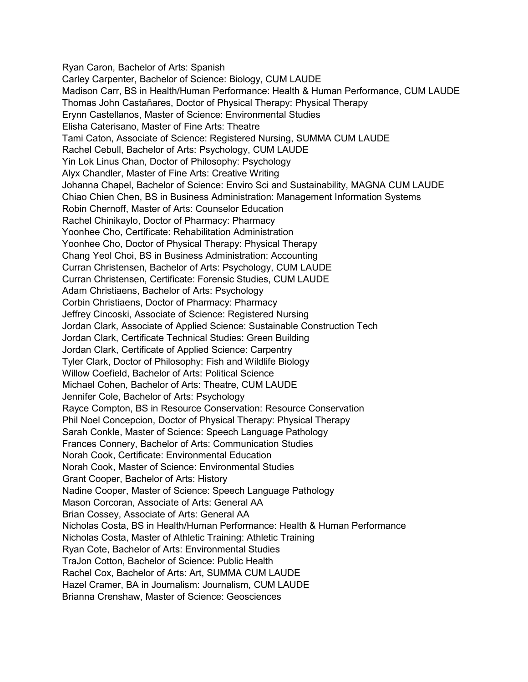Ryan Caron, Bachelor of Arts: Spanish Carley Carpenter, Bachelor of Science: Biology, CUM LAUDE Madison Carr, BS in Health/Human Performance: Health & Human Performance, CUM LAUDE Thomas John Castañares, Doctor of Physical Therapy: Physical Therapy Erynn Castellanos, Master of Science: Environmental Studies Elisha Caterisano, Master of Fine Arts: Theatre Tami Caton, Associate of Science: Registered Nursing, SUMMA CUM LAUDE Rachel Cebull, Bachelor of Arts: Psychology, CUM LAUDE Yin Lok Linus Chan, Doctor of Philosophy: Psychology Alyx Chandler, Master of Fine Arts: Creative Writing Johanna Chapel, Bachelor of Science: Enviro Sci and Sustainability, MAGNA CUM LAUDE Chiao Chien Chen, BS in Business Administration: Management Information Systems Robin Chernoff, Master of Arts: Counselor Education Rachel Chinikaylo, Doctor of Pharmacy: Pharmacy Yoonhee Cho, Certificate: Rehabilitation Administration Yoonhee Cho, Doctor of Physical Therapy: Physical Therapy Chang Yeol Choi, BS in Business Administration: Accounting Curran Christensen, Bachelor of Arts: Psychology, CUM LAUDE Curran Christensen, Certificate: Forensic Studies, CUM LAUDE Adam Christiaens, Bachelor of Arts: Psychology Corbin Christiaens, Doctor of Pharmacy: Pharmacy Jeffrey Cincoski, Associate of Science: Registered Nursing Jordan Clark, Associate of Applied Science: Sustainable Construction Tech Jordan Clark, Certificate Technical Studies: Green Building Jordan Clark, Certificate of Applied Science: Carpentry Tyler Clark, Doctor of Philosophy: Fish and Wildlife Biology Willow Coefield, Bachelor of Arts: Political Science Michael Cohen, Bachelor of Arts: Theatre, CUM LAUDE Jennifer Cole, Bachelor of Arts: Psychology Rayce Compton, BS in Resource Conservation: Resource Conservation Phil Noel Concepcion, Doctor of Physical Therapy: Physical Therapy Sarah Conkle, Master of Science: Speech Language Pathology Frances Connery, Bachelor of Arts: Communication Studies Norah Cook, Certificate: Environmental Education Norah Cook, Master of Science: Environmental Studies Grant Cooper, Bachelor of Arts: History Nadine Cooper, Master of Science: Speech Language Pathology Mason Corcoran, Associate of Arts: General AA Brian Cossey, Associate of Arts: General AA Nicholas Costa, BS in Health/Human Performance: Health & Human Performance Nicholas Costa, Master of Athletic Training: Athletic Training Ryan Cote, Bachelor of Arts: Environmental Studies TraJon Cotton, Bachelor of Science: Public Health Rachel Cox, Bachelor of Arts: Art, SUMMA CUM LAUDE Hazel Cramer, BA in Journalism: Journalism, CUM LAUDE Brianna Crenshaw, Master of Science: Geosciences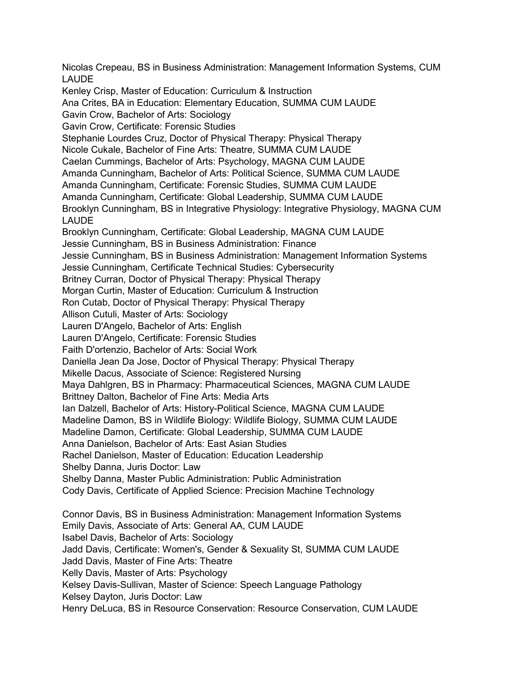Nicolas Crepeau, BS in Business Administration: Management Information Systems, CUM LAUDE Kenley Crisp, Master of Education: Curriculum & Instruction Ana Crites, BA in Education: Elementary Education, SUMMA CUM LAUDE Gavin Crow, Bachelor of Arts: Sociology Gavin Crow, Certificate: Forensic Studies Stephanie Lourdes Cruz, Doctor of Physical Therapy: Physical Therapy Nicole Cukale, Bachelor of Fine Arts: Theatre, SUMMA CUM LAUDE Caelan Cummings, Bachelor of Arts: Psychology, MAGNA CUM LAUDE Amanda Cunningham, Bachelor of Arts: Political Science, SUMMA CUM LAUDE Amanda Cunningham, Certificate: Forensic Studies, SUMMA CUM LAUDE Amanda Cunningham, Certificate: Global Leadership, SUMMA CUM LAUDE Brooklyn Cunningham, BS in Integrative Physiology: Integrative Physiology, MAGNA CUM LAUDE Brooklyn Cunningham, Certificate: Global Leadership, MAGNA CUM LAUDE Jessie Cunningham, BS in Business Administration: Finance Jessie Cunningham, BS in Business Administration: Management Information Systems Jessie Cunningham, Certificate Technical Studies: Cybersecurity Britney Curran, Doctor of Physical Therapy: Physical Therapy Morgan Curtin, Master of Education: Curriculum & Instruction Ron Cutab, Doctor of Physical Therapy: Physical Therapy Allison Cutuli, Master of Arts: Sociology Lauren D'Angelo, Bachelor of Arts: English Lauren D'Angelo, Certificate: Forensic Studies Faith D'ortenzio, Bachelor of Arts: Social Work Daniella Jean Da Jose, Doctor of Physical Therapy: Physical Therapy Mikelle Dacus, Associate of Science: Registered Nursing Maya Dahlgren, BS in Pharmacy: Pharmaceutical Sciences, MAGNA CUM LAUDE Brittney Dalton, Bachelor of Fine Arts: Media Arts Ian Dalzell, Bachelor of Arts: History-Political Science, MAGNA CUM LAUDE Madeline Damon, BS in Wildlife Biology: Wildlife Biology, SUMMA CUM LAUDE Madeline Damon, Certificate: Global Leadership, SUMMA CUM LAUDE Anna Danielson, Bachelor of Arts: East Asian Studies Rachel Danielson, Master of Education: Education Leadership Shelby Danna, Juris Doctor: Law Shelby Danna, Master Public Administration: Public Administration Cody Davis, Certificate of Applied Science: Precision Machine Technology Connor Davis, BS in Business Administration: Management Information Systems Emily Davis, Associate of Arts: General AA, CUM LAUDE Isabel Davis, Bachelor of Arts: Sociology Jadd Davis, Certificate: Women's, Gender & Sexuality St, SUMMA CUM LAUDE Jadd Davis, Master of Fine Arts: Theatre Kelly Davis, Master of Arts: Psychology Kelsey Davis-Sullivan, Master of Science: Speech Language Pathology Kelsey Dayton, Juris Doctor: Law Henry DeLuca, BS in Resource Conservation: Resource Conservation, CUM LAUDE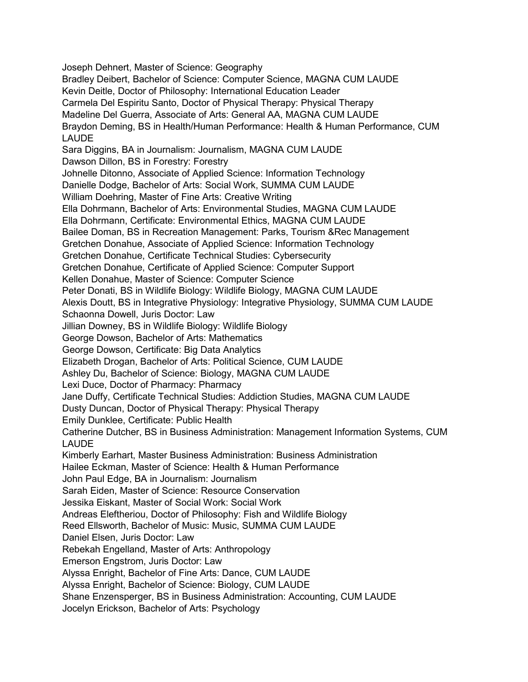Joseph Dehnert, Master of Science: Geography Bradley Deibert, Bachelor of Science: Computer Science, MAGNA CUM LAUDE Kevin Deitle, Doctor of Philosophy: International Education Leader Carmela Del Espiritu Santo, Doctor of Physical Therapy: Physical Therapy Madeline Del Guerra, Associate of Arts: General AA, MAGNA CUM LAUDE Braydon Deming, BS in Health/Human Performance: Health & Human Performance, CUM LAUDE Sara Diggins, BA in Journalism: Journalism, MAGNA CUM LAUDE Dawson Dillon, BS in Forestry: Forestry Johnelle Ditonno, Associate of Applied Science: Information Technology Danielle Dodge, Bachelor of Arts: Social Work, SUMMA CUM LAUDE William Doehring, Master of Fine Arts: Creative Writing Ella Dohrmann, Bachelor of Arts: Environmental Studies, MAGNA CUM LAUDE Ella Dohrmann, Certificate: Environmental Ethics, MAGNA CUM LAUDE Bailee Doman, BS in Recreation Management: Parks, Tourism &Rec Management Gretchen Donahue, Associate of Applied Science: Information Technology Gretchen Donahue, Certificate Technical Studies: Cybersecurity Gretchen Donahue, Certificate of Applied Science: Computer Support Kellen Donahue, Master of Science: Computer Science Peter Donati, BS in Wildlife Biology: Wildlife Biology, MAGNA CUM LAUDE Alexis Doutt, BS in Integrative Physiology: Integrative Physiology, SUMMA CUM LAUDE Schaonna Dowell, Juris Doctor: Law Jillian Downey, BS in Wildlife Biology: Wildlife Biology George Dowson, Bachelor of Arts: Mathematics George Dowson, Certificate: Big Data Analytics Elizabeth Drogan, Bachelor of Arts: Political Science, CUM LAUDE Ashley Du, Bachelor of Science: Biology, MAGNA CUM LAUDE Lexi Duce, Doctor of Pharmacy: Pharmacy Jane Duffy, Certificate Technical Studies: Addiction Studies, MAGNA CUM LAUDE Dusty Duncan, Doctor of Physical Therapy: Physical Therapy Emily Dunklee, Certificate: Public Health Catherine Dutcher, BS in Business Administration: Management Information Systems, CUM LAUDE Kimberly Earhart, Master Business Administration: Business Administration Hailee Eckman, Master of Science: Health & Human Performance John Paul Edge, BA in Journalism: Journalism Sarah Eiden, Master of Science: Resource Conservation Jessika Eiskant, Master of Social Work: Social Work Andreas Eleftheriou, Doctor of Philosophy: Fish and Wildlife Biology Reed Ellsworth, Bachelor of Music: Music, SUMMA CUM LAUDE Daniel Elsen, Juris Doctor: Law Rebekah Engelland, Master of Arts: Anthropology Emerson Engstrom, Juris Doctor: Law Alyssa Enright, Bachelor of Fine Arts: Dance, CUM LAUDE Alyssa Enright, Bachelor of Science: Biology, CUM LAUDE Shane Enzensperger, BS in Business Administration: Accounting, CUM LAUDE Jocelyn Erickson, Bachelor of Arts: Psychology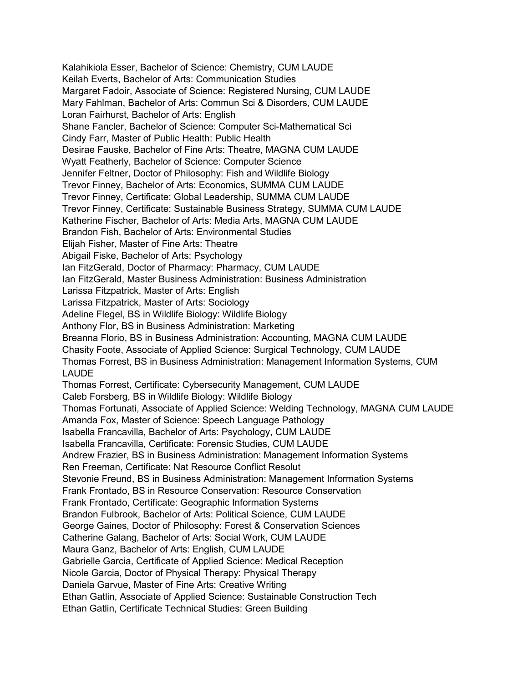Kalahikiola Esser, Bachelor of Science: Chemistry, CUM LAUDE Keilah Everts, Bachelor of Arts: Communication Studies Margaret Fadoir, Associate of Science: Registered Nursing, CUM LAUDE Mary Fahlman, Bachelor of Arts: Commun Sci & Disorders, CUM LAUDE Loran Fairhurst, Bachelor of Arts: English Shane Fancler, Bachelor of Science: Computer Sci-Mathematical Sci Cindy Farr, Master of Public Health: Public Health Desirae Fauske, Bachelor of Fine Arts: Theatre, MAGNA CUM LAUDE Wyatt Featherly, Bachelor of Science: Computer Science Jennifer Feltner, Doctor of Philosophy: Fish and Wildlife Biology Trevor Finney, Bachelor of Arts: Economics, SUMMA CUM LAUDE Trevor Finney, Certificate: Global Leadership, SUMMA CUM LAUDE Trevor Finney, Certificate: Sustainable Business Strategy, SUMMA CUM LAUDE Katherine Fischer, Bachelor of Arts: Media Arts, MAGNA CUM LAUDE Brandon Fish, Bachelor of Arts: Environmental Studies Elijah Fisher, Master of Fine Arts: Theatre Abigail Fiske, Bachelor of Arts: Psychology Ian FitzGerald, Doctor of Pharmacy: Pharmacy, CUM LAUDE Ian FitzGerald, Master Business Administration: Business Administration Larissa Fitzpatrick, Master of Arts: English Larissa Fitzpatrick, Master of Arts: Sociology Adeline Flegel, BS in Wildlife Biology: Wildlife Biology Anthony Flor, BS in Business Administration: Marketing Breanna Florio, BS in Business Administration: Accounting, MAGNA CUM LAUDE Chasity Foote, Associate of Applied Science: Surgical Technology, CUM LAUDE Thomas Forrest, BS in Business Administration: Management Information Systems, CUM LAUDE Thomas Forrest, Certificate: Cybersecurity Management, CUM LAUDE Caleb Forsberg, BS in Wildlife Biology: Wildlife Biology Thomas Fortunati, Associate of Applied Science: Welding Technology, MAGNA CUM LAUDE Amanda Fox, Master of Science: Speech Language Pathology Isabella Francavilla, Bachelor of Arts: Psychology, CUM LAUDE Isabella Francavilla, Certificate: Forensic Studies, CUM LAUDE Andrew Frazier, BS in Business Administration: Management Information Systems Ren Freeman, Certificate: Nat Resource Conflict Resolut Stevonie Freund, BS in Business Administration: Management Information Systems Frank Frontado, BS in Resource Conservation: Resource Conservation Frank Frontado, Certificate: Geographic Information Systems Brandon Fulbrook, Bachelor of Arts: Political Science, CUM LAUDE George Gaines, Doctor of Philosophy: Forest & Conservation Sciences Catherine Galang, Bachelor of Arts: Social Work, CUM LAUDE Maura Ganz, Bachelor of Arts: English, CUM LAUDE Gabrielle Garcia, Certificate of Applied Science: Medical Reception Nicole Garcia, Doctor of Physical Therapy: Physical Therapy Daniela Garvue, Master of Fine Arts: Creative Writing Ethan Gatlin, Associate of Applied Science: Sustainable Construction Tech Ethan Gatlin, Certificate Technical Studies: Green Building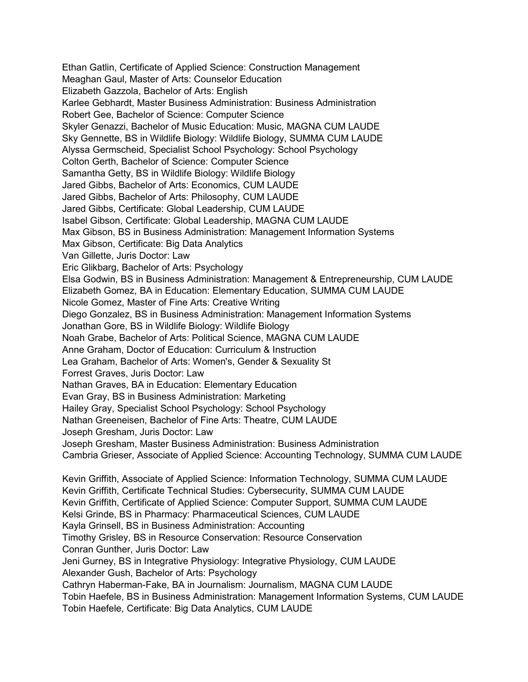Ethan Gatlin, Certificate of Applied Science: Construction Management Meaghan Gaul, Master of Arts: Counselor Education Elizabeth Gazzola, Bachelor of Arts: English Karlee Gebhardt, Master Business Administration: Business Administration Robert Gee, Bachelor of Science: Computer Science Skyler Genazzi, Bachelor of Music Education: Music, MAGNA CUM LAUDE Sky Gennette, BS in Wildlife Biology: Wildlife Biology, SUMMA CUM LAUDE Alyssa Germscheid, Specialist School Psychology: School Psychology Colton Gerth, Bachelor of Science: Computer Science Samantha Getty, BS in Wildlife Biology: Wildlife Biology Jared Gibbs, Bachelor of Arts: Economics, CUM LAUDE Jared Gibbs, Bachelor of Arts: Philosophy, CUM LAUDE Jared Gibbs, Certificate: Global Leadership, CUM LAUDE Isabel Gibson, Certificate: Global Leadership, MAGNA CUM LAUDE Max Gibson, BS in Business Administration: Management Information Systems Max Gibson, Certificate: Big Data Analytics Van Gillette, Juris Doctor: Law Eric Glikbarg, Bachelor of Arts: Psychology Elsa Godwin, BS in Business Administration: Management & Entrepreneurship, CUM LAUDE Elizabeth Gomez, BA in Education: Elementary Education, SUMMA CUM LAUDE Nicole Gomez, Master of Fine Arts: Creative Writing Diego Gonzalez, BS in Business Administration: Management Information Systems Jonathan Gore, BS in Wildlife Biology: Wildlife Biology Noah Grabe, Bachelor of Arts: Political Science, MAGNA CUM LAUDE Anne Graham, Doctor of Education: Curriculum & Instruction Lea Graham, Bachelor of Arts: Women's, Gender & Sexuality St Forrest Graves, Juris Doctor: Law Nathan Graves, BA in Education: Elementary Education Evan Gray, BS in Business Administration: Marketing Hailey Gray, Specialist School Psychology: School Psychology Nathan Greeneisen, Bachelor of Fine Arts: Theatre, CUM LAUDE Joseph Gresham, Juris Doctor: Law Joseph Gresham, Master Business Administration: Business Administration Cambria Grieser, Associate of Applied Science: Accounting Technology, SUMMA CUM LAUDE Kevin Griffith, Associate of Applied Science: Information Technology, SUMMA CUM LAUDE Kevin Griffith, Certificate Technical Studies: Cybersecurity, SUMMA CUM LAUDE Kevin Griffith, Certificate of Applied Science: Computer Support, SUMMA CUM LAUDE Kelsi Grinde, BS in Pharmacy: Pharmaceutical Sciences, CUM LAUDE Kayla Grinsell, BS in Business Administration: Accounting Timothy Grisley, BS in Resource Conservation: Resource Conservation Conran Gunther, Juris Doctor: Law Jeni Gurney, BS in Integrative Physiology: Integrative Physiology, CUM LAUDE Alexander Gush, Bachelor of Arts: Psychology Cathryn Haberman-Fake, BA in Journalism: Journalism, MAGNA CUM LAUDE Tobin Haefele, BS in Business Administration: Management Information Systems, CUM LAUDE

Tobin Haefele, Certificate: Big Data Analytics, CUM LAUDE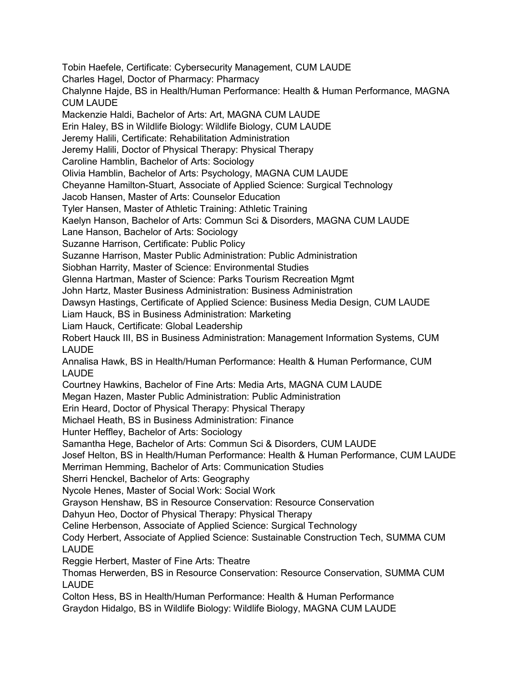Tobin Haefele, Certificate: Cybersecurity Management, CUM LAUDE Charles Hagel, Doctor of Pharmacy: Pharmacy Chalynne Hajde, BS in Health/Human Performance: Health & Human Performance, MAGNA CUM LAUDE Mackenzie Haldi, Bachelor of Arts: Art, MAGNA CUM LAUDE Erin Haley, BS in Wildlife Biology: Wildlife Biology, CUM LAUDE Jeremy Halili, Certificate: Rehabilitation Administration Jeremy Halili, Doctor of Physical Therapy: Physical Therapy Caroline Hamblin, Bachelor of Arts: Sociology Olivia Hamblin, Bachelor of Arts: Psychology, MAGNA CUM LAUDE Cheyanne Hamilton-Stuart, Associate of Applied Science: Surgical Technology Jacob Hansen, Master of Arts: Counselor Education Tyler Hansen, Master of Athletic Training: Athletic Training Kaelyn Hanson, Bachelor of Arts: Commun Sci & Disorders, MAGNA CUM LAUDE Lane Hanson, Bachelor of Arts: Sociology Suzanne Harrison, Certificate: Public Policy Suzanne Harrison, Master Public Administration: Public Administration Siobhan Harrity, Master of Science: Environmental Studies Glenna Hartman, Master of Science: Parks Tourism Recreation Mgmt John Hartz, Master Business Administration: Business Administration Dawsyn Hastings, Certificate of Applied Science: Business Media Design, CUM LAUDE Liam Hauck, BS in Business Administration: Marketing Liam Hauck, Certificate: Global Leadership Robert Hauck III, BS in Business Administration: Management Information Systems, CUM LAUDE Annalisa Hawk, BS in Health/Human Performance: Health & Human Performance, CUM LAUDE Courtney Hawkins, Bachelor of Fine Arts: Media Arts, MAGNA CUM LAUDE Megan Hazen, Master Public Administration: Public Administration Erin Heard, Doctor of Physical Therapy: Physical Therapy Michael Heath, BS in Business Administration: Finance Hunter Heffley, Bachelor of Arts: Sociology Samantha Hege, Bachelor of Arts: Commun Sci & Disorders, CUM LAUDE Josef Helton, BS in Health/Human Performance: Health & Human Performance, CUM LAUDE Merriman Hemming, Bachelor of Arts: Communication Studies Sherri Henckel, Bachelor of Arts: Geography Nycole Henes, Master of Social Work: Social Work Grayson Henshaw, BS in Resource Conservation: Resource Conservation Dahyun Heo, Doctor of Physical Therapy: Physical Therapy Celine Herbenson, Associate of Applied Science: Surgical Technology Cody Herbert, Associate of Applied Science: Sustainable Construction Tech, SUMMA CUM LAUDE Reggie Herbert, Master of Fine Arts: Theatre Thomas Herwerden, BS in Resource Conservation: Resource Conservation, SUMMA CUM LAUDE Colton Hess, BS in Health/Human Performance: Health & Human Performance Graydon Hidalgo, BS in Wildlife Biology: Wildlife Biology, MAGNA CUM LAUDE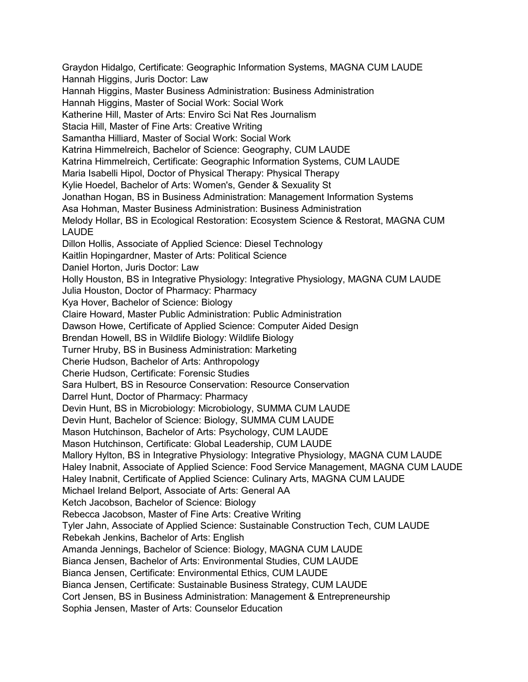Graydon Hidalgo, Certificate: Geographic Information Systems, MAGNA CUM LAUDE Hannah Higgins, Juris Doctor: Law Hannah Higgins, Master Business Administration: Business Administration Hannah Higgins, Master of Social Work: Social Work Katherine Hill, Master of Arts: Enviro Sci Nat Res Journalism Stacia Hill, Master of Fine Arts: Creative Writing Samantha Hilliard, Master of Social Work: Social Work Katrina Himmelreich, Bachelor of Science: Geography, CUM LAUDE Katrina Himmelreich, Certificate: Geographic Information Systems, CUM LAUDE Maria Isabelli Hipol, Doctor of Physical Therapy: Physical Therapy Kylie Hoedel, Bachelor of Arts: Women's, Gender & Sexuality St Jonathan Hogan, BS in Business Administration: Management Information Systems Asa Hohman, Master Business Administration: Business Administration Melody Hollar, BS in Ecological Restoration: Ecosystem Science & Restorat, MAGNA CUM LAUDE Dillon Hollis, Associate of Applied Science: Diesel Technology Kaitlin Hopingardner, Master of Arts: Political Science Daniel Horton, Juris Doctor: Law Holly Houston, BS in Integrative Physiology: Integrative Physiology, MAGNA CUM LAUDE Julia Houston, Doctor of Pharmacy: Pharmacy Kya Hover, Bachelor of Science: Biology Claire Howard, Master Public Administration: Public Administration Dawson Howe, Certificate of Applied Science: Computer Aided Design Brendan Howell, BS in Wildlife Biology: Wildlife Biology Turner Hruby, BS in Business Administration: Marketing Cherie Hudson, Bachelor of Arts: Anthropology Cherie Hudson, Certificate: Forensic Studies Sara Hulbert, BS in Resource Conservation: Resource Conservation Darrel Hunt, Doctor of Pharmacy: Pharmacy Devin Hunt, BS in Microbiology: Microbiology, SUMMA CUM LAUDE Devin Hunt, Bachelor of Science: Biology, SUMMA CUM LAUDE Mason Hutchinson, Bachelor of Arts: Psychology, CUM LAUDE Mason Hutchinson, Certificate: Global Leadership, CUM LAUDE Mallory Hylton, BS in Integrative Physiology: Integrative Physiology, MAGNA CUM LAUDE Haley Inabnit, Associate of Applied Science: Food Service Management, MAGNA CUM LAUDE Haley Inabnit, Certificate of Applied Science: Culinary Arts, MAGNA CUM LAUDE Michael Ireland Belport, Associate of Arts: General AA Ketch Jacobson, Bachelor of Science: Biology Rebecca Jacobson, Master of Fine Arts: Creative Writing Tyler Jahn, Associate of Applied Science: Sustainable Construction Tech, CUM LAUDE Rebekah Jenkins, Bachelor of Arts: English Amanda Jennings, Bachelor of Science: Biology, MAGNA CUM LAUDE Bianca Jensen, Bachelor of Arts: Environmental Studies, CUM LAUDE Bianca Jensen, Certificate: Environmental Ethics, CUM LAUDE Bianca Jensen, Certificate: Sustainable Business Strategy, CUM LAUDE Cort Jensen, BS in Business Administration: Management & Entrepreneurship Sophia Jensen, Master of Arts: Counselor Education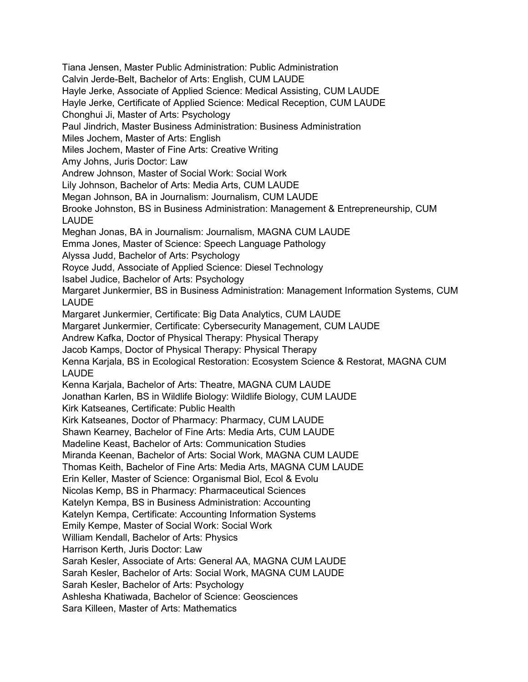Tiana Jensen, Master Public Administration: Public Administration Calvin Jerde-Belt, Bachelor of Arts: English, CUM LAUDE Hayle Jerke, Associate of Applied Science: Medical Assisting, CUM LAUDE Hayle Jerke, Certificate of Applied Science: Medical Reception, CUM LAUDE Chonghui Ji, Master of Arts: Psychology Paul Jindrich, Master Business Administration: Business Administration Miles Jochem, Master of Arts: English Miles Jochem, Master of Fine Arts: Creative Writing Amy Johns, Juris Doctor: Law Andrew Johnson, Master of Social Work: Social Work Lily Johnson, Bachelor of Arts: Media Arts, CUM LAUDE Megan Johnson, BA in Journalism: Journalism, CUM LAUDE Brooke Johnston, BS in Business Administration: Management & Entrepreneurship, CUM LAUDE Meghan Jonas, BA in Journalism: Journalism, MAGNA CUM LAUDE Emma Jones, Master of Science: Speech Language Pathology Alyssa Judd, Bachelor of Arts: Psychology Royce Judd, Associate of Applied Science: Diesel Technology Isabel Judice, Bachelor of Arts: Psychology Margaret Junkermier, BS in Business Administration: Management Information Systems, CUM LAUDE Margaret Junkermier, Certificate: Big Data Analytics, CUM LAUDE Margaret Junkermier, Certificate: Cybersecurity Management, CUM LAUDE Andrew Kafka, Doctor of Physical Therapy: Physical Therapy Jacob Kamps, Doctor of Physical Therapy: Physical Therapy Kenna Karjala, BS in Ecological Restoration: Ecosystem Science & Restorat, MAGNA CUM LAUDE Kenna Karjala, Bachelor of Arts: Theatre, MAGNA CUM LAUDE Jonathan Karlen, BS in Wildlife Biology: Wildlife Biology, CUM LAUDE Kirk Katseanes, Certificate: Public Health Kirk Katseanes, Doctor of Pharmacy: Pharmacy, CUM LAUDE Shawn Kearney, Bachelor of Fine Arts: Media Arts, CUM LAUDE Madeline Keast, Bachelor of Arts: Communication Studies Miranda Keenan, Bachelor of Arts: Social Work, MAGNA CUM LAUDE Thomas Keith, Bachelor of Fine Arts: Media Arts, MAGNA CUM LAUDE Erin Keller, Master of Science: Organismal Biol, Ecol & Evolu Nicolas Kemp, BS in Pharmacy: Pharmaceutical Sciences Katelyn Kempa, BS in Business Administration: Accounting Katelyn Kempa, Certificate: Accounting Information Systems Emily Kempe, Master of Social Work: Social Work William Kendall, Bachelor of Arts: Physics Harrison Kerth, Juris Doctor: Law Sarah Kesler, Associate of Arts: General AA, MAGNA CUM LAUDE Sarah Kesler, Bachelor of Arts: Social Work, MAGNA CUM LAUDE Sarah Kesler, Bachelor of Arts: Psychology Ashlesha Khatiwada, Bachelor of Science: Geosciences Sara Killeen, Master of Arts: Mathematics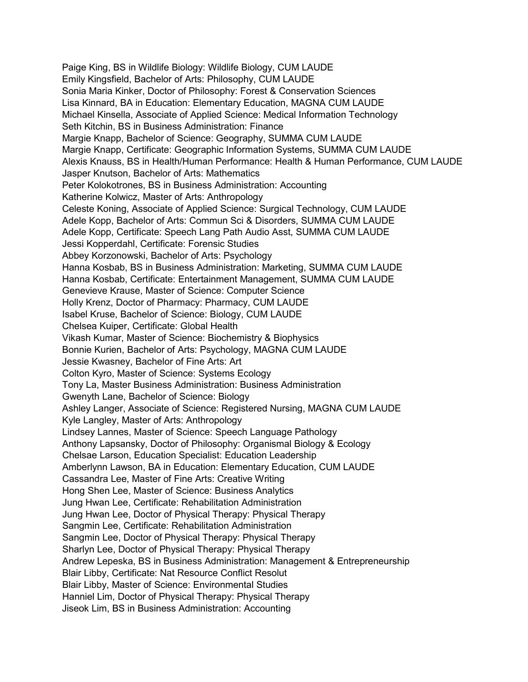Paige King, BS in Wildlife Biology: Wildlife Biology, CUM LAUDE Emily Kingsfield, Bachelor of Arts: Philosophy, CUM LAUDE Sonia Maria Kinker, Doctor of Philosophy: Forest & Conservation Sciences Lisa Kinnard, BA in Education: Elementary Education, MAGNA CUM LAUDE Michael Kinsella, Associate of Applied Science: Medical Information Technology Seth Kitchin, BS in Business Administration: Finance Margie Knapp, Bachelor of Science: Geography, SUMMA CUM LAUDE Margie Knapp, Certificate: Geographic Information Systems, SUMMA CUM LAUDE Alexis Knauss, BS in Health/Human Performance: Health & Human Performance, CUM LAUDE Jasper Knutson, Bachelor of Arts: Mathematics Peter Kolokotrones, BS in Business Administration: Accounting Katherine Kolwicz, Master of Arts: Anthropology Celeste Koning, Associate of Applied Science: Surgical Technology, CUM LAUDE Adele Kopp, Bachelor of Arts: Commun Sci & Disorders, SUMMA CUM LAUDE Adele Kopp, Certificate: Speech Lang Path Audio Asst, SUMMA CUM LAUDE Jessi Kopperdahl, Certificate: Forensic Studies Abbey Korzonowski, Bachelor of Arts: Psychology Hanna Kosbab, BS in Business Administration: Marketing, SUMMA CUM LAUDE Hanna Kosbab, Certificate: Entertainment Management, SUMMA CUM LAUDE Genevieve Krause, Master of Science: Computer Science Holly Krenz, Doctor of Pharmacy: Pharmacy, CUM LAUDE Isabel Kruse, Bachelor of Science: Biology, CUM LAUDE Chelsea Kuiper, Certificate: Global Health Vikash Kumar, Master of Science: Biochemistry & Biophysics Bonnie Kurien, Bachelor of Arts: Psychology, MAGNA CUM LAUDE Jessie Kwasney, Bachelor of Fine Arts: Art Colton Kyro, Master of Science: Systems Ecology Tony La, Master Business Administration: Business Administration Gwenyth Lane, Bachelor of Science: Biology Ashley Langer, Associate of Science: Registered Nursing, MAGNA CUM LAUDE Kyle Langley, Master of Arts: Anthropology Lindsey Lannes, Master of Science: Speech Language Pathology Anthony Lapsansky, Doctor of Philosophy: Organismal Biology & Ecology Chelsae Larson, Education Specialist: Education Leadership Amberlynn Lawson, BA in Education: Elementary Education, CUM LAUDE Cassandra Lee, Master of Fine Arts: Creative Writing Hong Shen Lee, Master of Science: Business Analytics Jung Hwan Lee, Certificate: Rehabilitation Administration Jung Hwan Lee, Doctor of Physical Therapy: Physical Therapy Sangmin Lee, Certificate: Rehabilitation Administration Sangmin Lee, Doctor of Physical Therapy: Physical Therapy Sharlyn Lee, Doctor of Physical Therapy: Physical Therapy Andrew Lepeska, BS in Business Administration: Management & Entrepreneurship Blair Libby, Certificate: Nat Resource Conflict Resolut Blair Libby, Master of Science: Environmental Studies Hanniel Lim, Doctor of Physical Therapy: Physical Therapy Jiseok Lim, BS in Business Administration: Accounting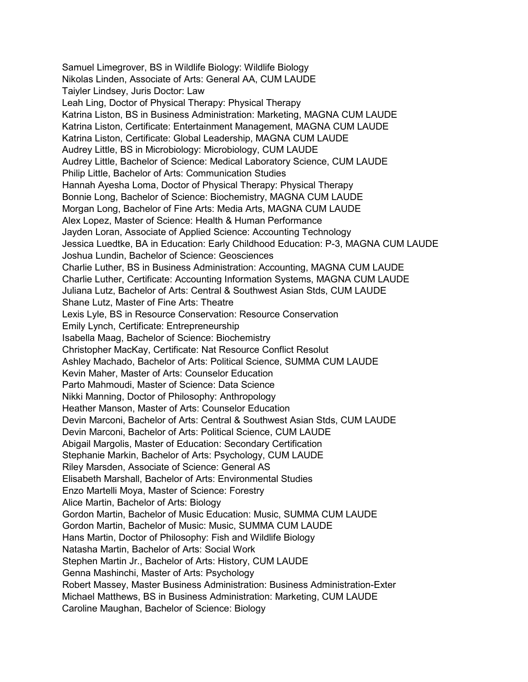Samuel Limegrover, BS in Wildlife Biology: Wildlife Biology Nikolas Linden, Associate of Arts: General AA, CUM LAUDE Taiyler Lindsey, Juris Doctor: Law Leah Ling, Doctor of Physical Therapy: Physical Therapy Katrina Liston, BS in Business Administration: Marketing, MAGNA CUM LAUDE Katrina Liston, Certificate: Entertainment Management, MAGNA CUM LAUDE Katrina Liston, Certificate: Global Leadership, MAGNA CUM LAUDE Audrey Little, BS in Microbiology: Microbiology, CUM LAUDE Audrey Little, Bachelor of Science: Medical Laboratory Science, CUM LAUDE Philip Little, Bachelor of Arts: Communication Studies Hannah Ayesha Loma, Doctor of Physical Therapy: Physical Therapy Bonnie Long, Bachelor of Science: Biochemistry, MAGNA CUM LAUDE Morgan Long, Bachelor of Fine Arts: Media Arts, MAGNA CUM LAUDE Alex Lopez, Master of Science: Health & Human Performance Jayden Loran, Associate of Applied Science: Accounting Technology Jessica Luedtke, BA in Education: Early Childhood Education: P-3, MAGNA CUM LAUDE Joshua Lundin, Bachelor of Science: Geosciences Charlie Luther, BS in Business Administration: Accounting, MAGNA CUM LAUDE Charlie Luther, Certificate: Accounting Information Systems, MAGNA CUM LAUDE Juliana Lutz, Bachelor of Arts: Central & Southwest Asian Stds, CUM LAUDE Shane Lutz, Master of Fine Arts: Theatre Lexis Lyle, BS in Resource Conservation: Resource Conservation Emily Lynch, Certificate: Entrepreneurship Isabella Maag, Bachelor of Science: Biochemistry Christopher MacKay, Certificate: Nat Resource Conflict Resolut Ashley Machado, Bachelor of Arts: Political Science, SUMMA CUM LAUDE Kevin Maher, Master of Arts: Counselor Education Parto Mahmoudi, Master of Science: Data Science Nikki Manning, Doctor of Philosophy: Anthropology Heather Manson, Master of Arts: Counselor Education Devin Marconi, Bachelor of Arts: Central & Southwest Asian Stds, CUM LAUDE Devin Marconi, Bachelor of Arts: Political Science, CUM LAUDE Abigail Margolis, Master of Education: Secondary Certification Stephanie Markin, Bachelor of Arts: Psychology, CUM LAUDE Riley Marsden, Associate of Science: General AS Elisabeth Marshall, Bachelor of Arts: Environmental Studies Enzo Martelli Moya, Master of Science: Forestry Alice Martin, Bachelor of Arts: Biology Gordon Martin, Bachelor of Music Education: Music, SUMMA CUM LAUDE Gordon Martin, Bachelor of Music: Music, SUMMA CUM LAUDE Hans Martin, Doctor of Philosophy: Fish and Wildlife Biology Natasha Martin, Bachelor of Arts: Social Work Stephen Martin Jr., Bachelor of Arts: History, CUM LAUDE Genna Mashinchi, Master of Arts: Psychology Robert Massey, Master Business Administration: Business Administration-Exter Michael Matthews, BS in Business Administration: Marketing, CUM LAUDE Caroline Maughan, Bachelor of Science: Biology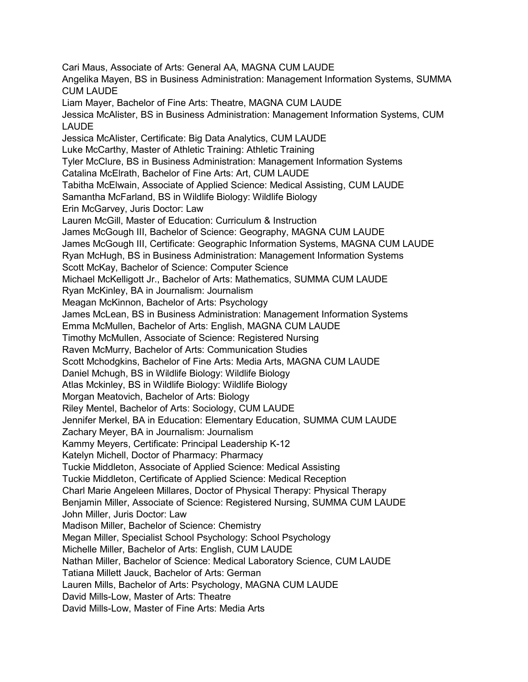Cari Maus, Associate of Arts: General AA, MAGNA CUM LAUDE Angelika Mayen, BS in Business Administration: Management Information Systems, SUMMA CUM LAUDE Liam Mayer, Bachelor of Fine Arts: Theatre, MAGNA CUM LAUDE Jessica McAlister, BS in Business Administration: Management Information Systems, CUM LAUDE Jessica McAlister, Certificate: Big Data Analytics, CUM LAUDE Luke McCarthy, Master of Athletic Training: Athletic Training Tyler McClure, BS in Business Administration: Management Information Systems Catalina McElrath, Bachelor of Fine Arts: Art, CUM LAUDE Tabitha McElwain, Associate of Applied Science: Medical Assisting, CUM LAUDE Samantha McFarland, BS in Wildlife Biology: Wildlife Biology Erin McGarvey, Juris Doctor: Law Lauren McGill, Master of Education: Curriculum & Instruction James McGough III, Bachelor of Science: Geography, MAGNA CUM LAUDE James McGough III, Certificate: Geographic Information Systems, MAGNA CUM LAUDE Ryan McHugh, BS in Business Administration: Management Information Systems Scott McKay, Bachelor of Science: Computer Science Michael McKelligott Jr., Bachelor of Arts: Mathematics, SUMMA CUM LAUDE Ryan McKinley, BA in Journalism: Journalism Meagan McKinnon, Bachelor of Arts: Psychology James McLean, BS in Business Administration: Management Information Systems Emma McMullen, Bachelor of Arts: English, MAGNA CUM LAUDE Timothy McMullen, Associate of Science: Registered Nursing Raven McMurry, Bachelor of Arts: Communication Studies Scott Mchodgkins, Bachelor of Fine Arts: Media Arts, MAGNA CUM LAUDE Daniel Mchugh, BS in Wildlife Biology: Wildlife Biology Atlas Mckinley, BS in Wildlife Biology: Wildlife Biology Morgan Meatovich, Bachelor of Arts: Biology Riley Mentel, Bachelor of Arts: Sociology, CUM LAUDE Jennifer Merkel, BA in Education: Elementary Education, SUMMA CUM LAUDE Zachary Meyer, BA in Journalism: Journalism Kammy Meyers, Certificate: Principal Leadership K-12 Katelyn Michell, Doctor of Pharmacy: Pharmacy Tuckie Middleton, Associate of Applied Science: Medical Assisting Tuckie Middleton, Certificate of Applied Science: Medical Reception Charl Marie Angeleen Millares, Doctor of Physical Therapy: Physical Therapy Benjamin Miller, Associate of Science: Registered Nursing, SUMMA CUM LAUDE John Miller, Juris Doctor: Law Madison Miller, Bachelor of Science: Chemistry Megan Miller, Specialist School Psychology: School Psychology Michelle Miller, Bachelor of Arts: English, CUM LAUDE Nathan Miller, Bachelor of Science: Medical Laboratory Science, CUM LAUDE Tatiana Millett Jauck, Bachelor of Arts: German Lauren Mills, Bachelor of Arts: Psychology, MAGNA CUM LAUDE David Mills-Low, Master of Arts: Theatre David Mills-Low, Master of Fine Arts: Media Arts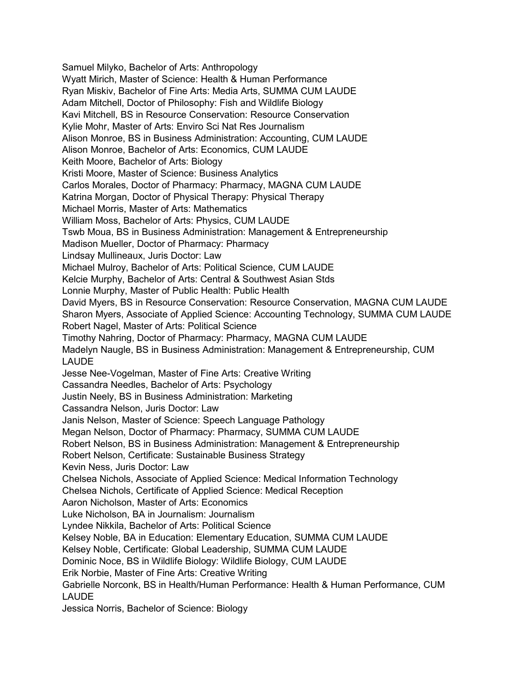Samuel Milyko, Bachelor of Arts: Anthropology Wyatt Mirich, Master of Science: Health & Human Performance Ryan Miskiv, Bachelor of Fine Arts: Media Arts, SUMMA CUM LAUDE Adam Mitchell, Doctor of Philosophy: Fish and Wildlife Biology Kavi Mitchell, BS in Resource Conservation: Resource Conservation Kylie Mohr, Master of Arts: Enviro Sci Nat Res Journalism Alison Monroe, BS in Business Administration: Accounting, CUM LAUDE Alison Monroe, Bachelor of Arts: Economics, CUM LAUDE Keith Moore, Bachelor of Arts: Biology Kristi Moore, Master of Science: Business Analytics Carlos Morales, Doctor of Pharmacy: Pharmacy, MAGNA CUM LAUDE Katrina Morgan, Doctor of Physical Therapy: Physical Therapy Michael Morris, Master of Arts: Mathematics William Moss, Bachelor of Arts: Physics, CUM LAUDE Tswb Moua, BS in Business Administration: Management & Entrepreneurship Madison Mueller, Doctor of Pharmacy: Pharmacy Lindsay Mullineaux, Juris Doctor: Law Michael Mulroy, Bachelor of Arts: Political Science, CUM LAUDE Kelcie Murphy, Bachelor of Arts: Central & Southwest Asian Stds Lonnie Murphy, Master of Public Health: Public Health David Myers, BS in Resource Conservation: Resource Conservation, MAGNA CUM LAUDE Sharon Myers, Associate of Applied Science: Accounting Technology, SUMMA CUM LAUDE Robert Nagel, Master of Arts: Political Science Timothy Nahring, Doctor of Pharmacy: Pharmacy, MAGNA CUM LAUDE Madelyn Naugle, BS in Business Administration: Management & Entrepreneurship, CUM LAUDE Jesse Nee-Vogelman, Master of Fine Arts: Creative Writing Cassandra Needles, Bachelor of Arts: Psychology Justin Neely, BS in Business Administration: Marketing Cassandra Nelson, Juris Doctor: Law Janis Nelson, Master of Science: Speech Language Pathology Megan Nelson, Doctor of Pharmacy: Pharmacy, SUMMA CUM LAUDE Robert Nelson, BS in Business Administration: Management & Entrepreneurship Robert Nelson, Certificate: Sustainable Business Strategy Kevin Ness, Juris Doctor: Law Chelsea Nichols, Associate of Applied Science: Medical Information Technology Chelsea Nichols, Certificate of Applied Science: Medical Reception Aaron Nicholson, Master of Arts: Economics Luke Nicholson, BA in Journalism: Journalism Lyndee Nikkila, Bachelor of Arts: Political Science Kelsey Noble, BA in Education: Elementary Education, SUMMA CUM LAUDE Kelsey Noble, Certificate: Global Leadership, SUMMA CUM LAUDE Dominic Noce, BS in Wildlife Biology: Wildlife Biology, CUM LAUDE Erik Norbie, Master of Fine Arts: Creative Writing Gabrielle Norconk, BS in Health/Human Performance: Health & Human Performance, CUM LAUDE Jessica Norris, Bachelor of Science: Biology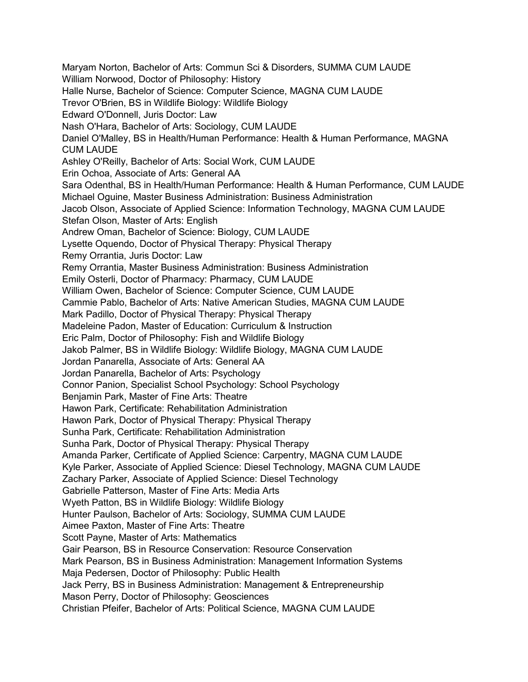Maryam Norton, Bachelor of Arts: Commun Sci & Disorders, SUMMA CUM LAUDE William Norwood, Doctor of Philosophy: History Halle Nurse, Bachelor of Science: Computer Science, MAGNA CUM LAUDE Trevor O'Brien, BS in Wildlife Biology: Wildlife Biology Edward O'Donnell, Juris Doctor: Law Nash O'Hara, Bachelor of Arts: Sociology, CUM LAUDE Daniel O'Malley, BS in Health/Human Performance: Health & Human Performance, MAGNA CUM LAUDE Ashley O'Reilly, Bachelor of Arts: Social Work, CUM LAUDE Erin Ochoa, Associate of Arts: General AA Sara Odenthal, BS in Health/Human Performance: Health & Human Performance, CUM LAUDE Michael Oguine, Master Business Administration: Business Administration Jacob Olson, Associate of Applied Science: Information Technology, MAGNA CUM LAUDE Stefan Olson, Master of Arts: English Andrew Oman, Bachelor of Science: Biology, CUM LAUDE Lysette Oquendo, Doctor of Physical Therapy: Physical Therapy Remy Orrantia, Juris Doctor: Law Remy Orrantia, Master Business Administration: Business Administration Emily Osterli, Doctor of Pharmacy: Pharmacy, CUM LAUDE William Owen, Bachelor of Science: Computer Science, CUM LAUDE Cammie Pablo, Bachelor of Arts: Native American Studies, MAGNA CUM LAUDE Mark Padillo, Doctor of Physical Therapy: Physical Therapy Madeleine Padon, Master of Education: Curriculum & Instruction Eric Palm, Doctor of Philosophy: Fish and Wildlife Biology Jakob Palmer, BS in Wildlife Biology: Wildlife Biology, MAGNA CUM LAUDE Jordan Panarella, Associate of Arts: General AA Jordan Panarella, Bachelor of Arts: Psychology Connor Panion, Specialist School Psychology: School Psychology Benjamin Park, Master of Fine Arts: Theatre Hawon Park, Certificate: Rehabilitation Administration Hawon Park, Doctor of Physical Therapy: Physical Therapy Sunha Park, Certificate: Rehabilitation Administration Sunha Park, Doctor of Physical Therapy: Physical Therapy Amanda Parker, Certificate of Applied Science: Carpentry, MAGNA CUM LAUDE Kyle Parker, Associate of Applied Science: Diesel Technology, MAGNA CUM LAUDE Zachary Parker, Associate of Applied Science: Diesel Technology Gabrielle Patterson, Master of Fine Arts: Media Arts Wyeth Patton, BS in Wildlife Biology: Wildlife Biology Hunter Paulson, Bachelor of Arts: Sociology, SUMMA CUM LAUDE Aimee Paxton, Master of Fine Arts: Theatre Scott Payne, Master of Arts: Mathematics Gair Pearson, BS in Resource Conservation: Resource Conservation Mark Pearson, BS in Business Administration: Management Information Systems Maja Pedersen, Doctor of Philosophy: Public Health Jack Perry, BS in Business Administration: Management & Entrepreneurship Mason Perry, Doctor of Philosophy: Geosciences Christian Pfeifer, Bachelor of Arts: Political Science, MAGNA CUM LAUDE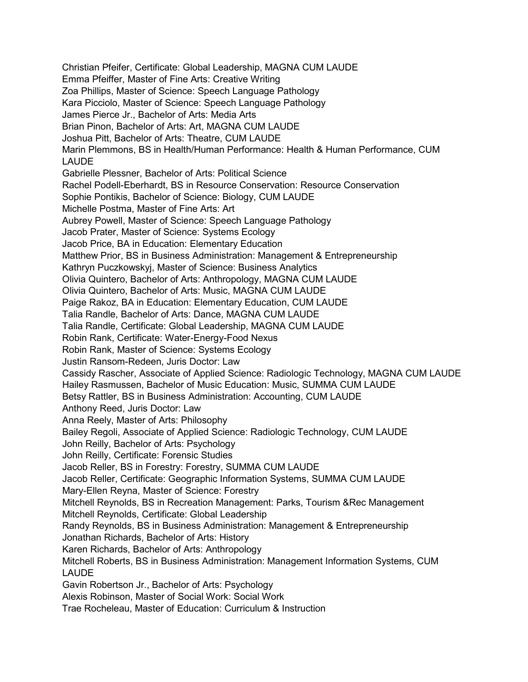Christian Pfeifer, Certificate: Global Leadership, MAGNA CUM LAUDE Emma Pfeiffer, Master of Fine Arts: Creative Writing Zoa Phillips, Master of Science: Speech Language Pathology Kara Picciolo, Master of Science: Speech Language Pathology James Pierce Jr., Bachelor of Arts: Media Arts Brian Pinon, Bachelor of Arts: Art, MAGNA CUM LAUDE Joshua Pitt, Bachelor of Arts: Theatre, CUM LAUDE Marin Plemmons, BS in Health/Human Performance: Health & Human Performance, CUM LAUDE Gabrielle Plessner, Bachelor of Arts: Political Science Rachel Podell-Eberhardt, BS in Resource Conservation: Resource Conservation Sophie Pontikis, Bachelor of Science: Biology, CUM LAUDE Michelle Postma, Master of Fine Arts: Art Aubrey Powell, Master of Science: Speech Language Pathology Jacob Prater, Master of Science: Systems Ecology Jacob Price, BA in Education: Elementary Education Matthew Prior, BS in Business Administration: Management & Entrepreneurship Kathryn Puczkowskyj, Master of Science: Business Analytics Olivia Quintero, Bachelor of Arts: Anthropology, MAGNA CUM LAUDE Olivia Quintero, Bachelor of Arts: Music, MAGNA CUM LAUDE Paige Rakoz, BA in Education: Elementary Education, CUM LAUDE Talia Randle, Bachelor of Arts: Dance, MAGNA CUM LAUDE Talia Randle, Certificate: Global Leadership, MAGNA CUM LAUDE Robin Rank, Certificate: Water-Energy-Food Nexus Robin Rank, Master of Science: Systems Ecology Justin Ransom-Redeen, Juris Doctor: Law Cassidy Rascher, Associate of Applied Science: Radiologic Technology, MAGNA CUM LAUDE Hailey Rasmussen, Bachelor of Music Education: Music, SUMMA CUM LAUDE Betsy Rattler, BS in Business Administration: Accounting, CUM LAUDE Anthony Reed, Juris Doctor: Law Anna Reely, Master of Arts: Philosophy Bailey Regoli, Associate of Applied Science: Radiologic Technology, CUM LAUDE John Reilly, Bachelor of Arts: Psychology John Reilly, Certificate: Forensic Studies Jacob Reller, BS in Forestry: Forestry, SUMMA CUM LAUDE Jacob Reller, Certificate: Geographic Information Systems, SUMMA CUM LAUDE Mary-Ellen Reyna, Master of Science: Forestry Mitchell Reynolds, BS in Recreation Management: Parks, Tourism &Rec Management Mitchell Reynolds, Certificate: Global Leadership Randy Reynolds, BS in Business Administration: Management & Entrepreneurship Jonathan Richards, Bachelor of Arts: History Karen Richards, Bachelor of Arts: Anthropology Mitchell Roberts, BS in Business Administration: Management Information Systems, CUM LAUDE Gavin Robertson Jr., Bachelor of Arts: Psychology Alexis Robinson, Master of Social Work: Social Work Trae Rocheleau, Master of Education: Curriculum & Instruction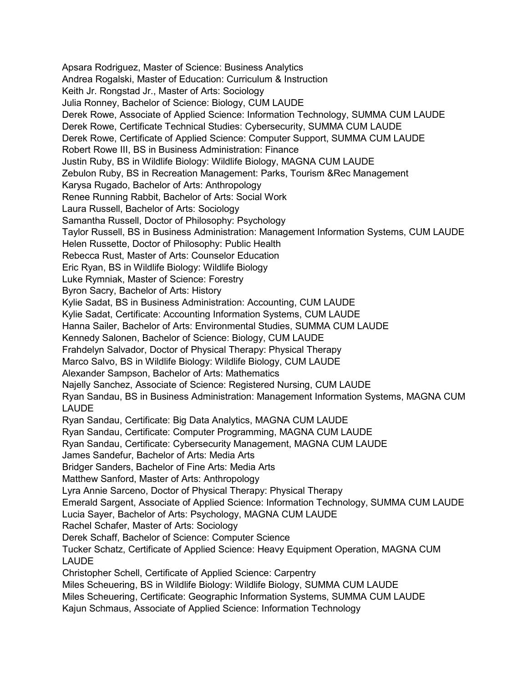Apsara Rodriguez, Master of Science: Business Analytics Andrea Rogalski, Master of Education: Curriculum & Instruction Keith Jr. Rongstad Jr., Master of Arts: Sociology Julia Ronney, Bachelor of Science: Biology, CUM LAUDE Derek Rowe, Associate of Applied Science: Information Technology, SUMMA CUM LAUDE Derek Rowe, Certificate Technical Studies: Cybersecurity, SUMMA CUM LAUDE Derek Rowe, Certificate of Applied Science: Computer Support, SUMMA CUM LAUDE Robert Rowe III, BS in Business Administration: Finance Justin Ruby, BS in Wildlife Biology: Wildlife Biology, MAGNA CUM LAUDE Zebulon Ruby, BS in Recreation Management: Parks, Tourism &Rec Management Karysa Rugado, Bachelor of Arts: Anthropology Renee Running Rabbit, Bachelor of Arts: Social Work Laura Russell, Bachelor of Arts: Sociology Samantha Russell, Doctor of Philosophy: Psychology Taylor Russell, BS in Business Administration: Management Information Systems, CUM LAUDE Helen Russette, Doctor of Philosophy: Public Health Rebecca Rust, Master of Arts: Counselor Education Eric Ryan, BS in Wildlife Biology: Wildlife Biology Luke Rymniak, Master of Science: Forestry Byron Sacry, Bachelor of Arts: History Kylie Sadat, BS in Business Administration: Accounting, CUM LAUDE Kylie Sadat, Certificate: Accounting Information Systems, CUM LAUDE Hanna Sailer, Bachelor of Arts: Environmental Studies, SUMMA CUM LAUDE Kennedy Salonen, Bachelor of Science: Biology, CUM LAUDE Frahdelyn Salvador, Doctor of Physical Therapy: Physical Therapy Marco Salvo, BS in Wildlife Biology: Wildlife Biology, CUM LAUDE Alexander Sampson, Bachelor of Arts: Mathematics Najelly Sanchez, Associate of Science: Registered Nursing, CUM LAUDE Ryan Sandau, BS in Business Administration: Management Information Systems, MAGNA CUM LAUDE Ryan Sandau, Certificate: Big Data Analytics, MAGNA CUM LAUDE Ryan Sandau, Certificate: Computer Programming, MAGNA CUM LAUDE Ryan Sandau, Certificate: Cybersecurity Management, MAGNA CUM LAUDE James Sandefur, Bachelor of Arts: Media Arts Bridger Sanders, Bachelor of Fine Arts: Media Arts Matthew Sanford, Master of Arts: Anthropology Lyra Annie Sarceno, Doctor of Physical Therapy: Physical Therapy Emerald Sargent, Associate of Applied Science: Information Technology, SUMMA CUM LAUDE Lucia Sayer, Bachelor of Arts: Psychology, MAGNA CUM LAUDE Rachel Schafer, Master of Arts: Sociology Derek Schaff, Bachelor of Science: Computer Science Tucker Schatz, Certificate of Applied Science: Heavy Equipment Operation, MAGNA CUM LAUDE Christopher Schell, Certificate of Applied Science: Carpentry Miles Scheuering, BS in Wildlife Biology: Wildlife Biology, SUMMA CUM LAUDE Miles Scheuering, Certificate: Geographic Information Systems, SUMMA CUM LAUDE Kajun Schmaus, Associate of Applied Science: Information Technology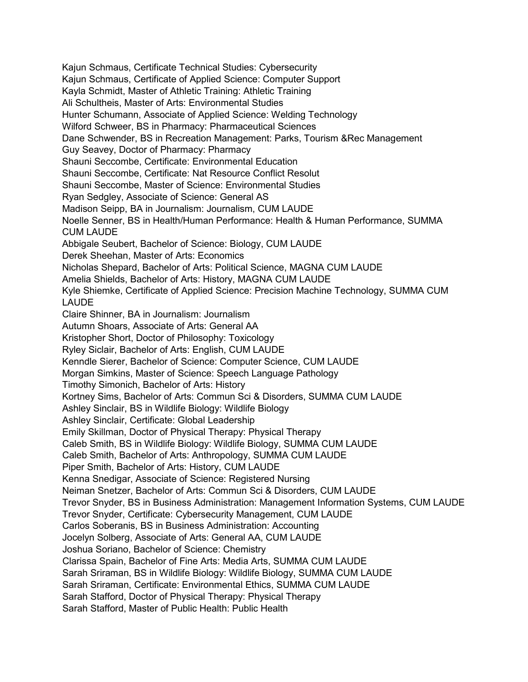Kajun Schmaus, Certificate Technical Studies: Cybersecurity Kajun Schmaus, Certificate of Applied Science: Computer Support Kayla Schmidt, Master of Athletic Training: Athletic Training Ali Schultheis, Master of Arts: Environmental Studies Hunter Schumann, Associate of Applied Science: Welding Technology Wilford Schweer, BS in Pharmacy: Pharmaceutical Sciences Dane Schwender, BS in Recreation Management: Parks, Tourism &Rec Management Guy Seavey, Doctor of Pharmacy: Pharmacy Shauni Seccombe, Certificate: Environmental Education Shauni Seccombe, Certificate: Nat Resource Conflict Resolut Shauni Seccombe, Master of Science: Environmental Studies Ryan Sedgley, Associate of Science: General AS Madison Seipp, BA in Journalism: Journalism, CUM LAUDE Noelle Senner, BS in Health/Human Performance: Health & Human Performance, SUMMA CUM LAUDE Abbigale Seubert, Bachelor of Science: Biology, CUM LAUDE Derek Sheehan, Master of Arts: Economics Nicholas Shepard, Bachelor of Arts: Political Science, MAGNA CUM LAUDE Amelia Shields, Bachelor of Arts: History, MAGNA CUM LAUDE Kyle Shiemke, Certificate of Applied Science: Precision Machine Technology, SUMMA CUM LAUDE Claire Shinner, BA in Journalism: Journalism Autumn Shoars, Associate of Arts: General AA Kristopher Short, Doctor of Philosophy: Toxicology Ryley Siclair, Bachelor of Arts: English, CUM LAUDE Kenndle Sierer, Bachelor of Science: Computer Science, CUM LAUDE Morgan Simkins, Master of Science: Speech Language Pathology Timothy Simonich, Bachelor of Arts: History Kortney Sims, Bachelor of Arts: Commun Sci & Disorders, SUMMA CUM LAUDE Ashley Sinclair, BS in Wildlife Biology: Wildlife Biology Ashley Sinclair, Certificate: Global Leadership Emily Skillman, Doctor of Physical Therapy: Physical Therapy Caleb Smith, BS in Wildlife Biology: Wildlife Biology, SUMMA CUM LAUDE Caleb Smith, Bachelor of Arts: Anthropology, SUMMA CUM LAUDE Piper Smith, Bachelor of Arts: History, CUM LAUDE Kenna Snedigar, Associate of Science: Registered Nursing Neiman Snetzer, Bachelor of Arts: Commun Sci & Disorders, CUM LAUDE Trevor Snyder, BS in Business Administration: Management Information Systems, CUM LAUDE Trevor Snyder, Certificate: Cybersecurity Management, CUM LAUDE Carlos Soberanis, BS in Business Administration: Accounting Jocelyn Solberg, Associate of Arts: General AA, CUM LAUDE Joshua Soriano, Bachelor of Science: Chemistry Clarissa Spain, Bachelor of Fine Arts: Media Arts, SUMMA CUM LAUDE Sarah Sriraman, BS in Wildlife Biology: Wildlife Biology, SUMMA CUM LAUDE Sarah Sriraman, Certificate: Environmental Ethics, SUMMA CUM LAUDE Sarah Stafford, Doctor of Physical Therapy: Physical Therapy Sarah Stafford, Master of Public Health: Public Health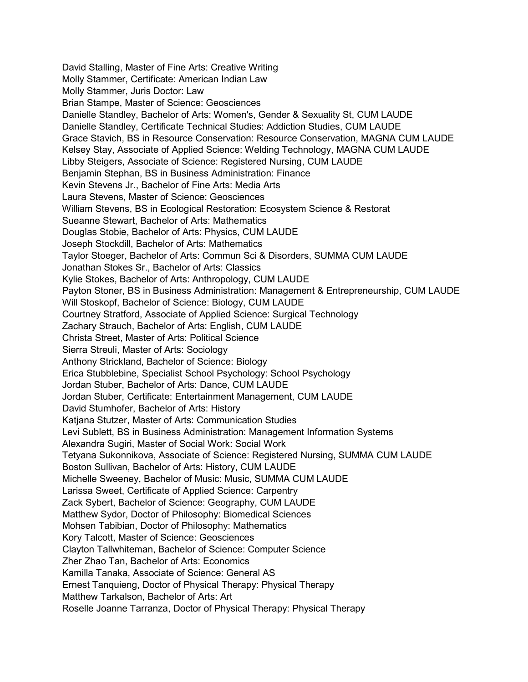David Stalling, Master of Fine Arts: Creative Writing Molly Stammer, Certificate: American Indian Law Molly Stammer, Juris Doctor: Law Brian Stampe, Master of Science: Geosciences Danielle Standley, Bachelor of Arts: Women's, Gender & Sexuality St, CUM LAUDE Danielle Standley, Certificate Technical Studies: Addiction Studies, CUM LAUDE Grace Stavich, BS in Resource Conservation: Resource Conservation, MAGNA CUM LAUDE Kelsey Stay, Associate of Applied Science: Welding Technology, MAGNA CUM LAUDE Libby Steigers, Associate of Science: Registered Nursing, CUM LAUDE Benjamin Stephan, BS in Business Administration: Finance Kevin Stevens Jr., Bachelor of Fine Arts: Media Arts Laura Stevens, Master of Science: Geosciences William Stevens, BS in Ecological Restoration: Ecosystem Science & Restorat Sueanne Stewart, Bachelor of Arts: Mathematics Douglas Stobie, Bachelor of Arts: Physics, CUM LAUDE Joseph Stockdill, Bachelor of Arts: Mathematics Taylor Stoeger, Bachelor of Arts: Commun Sci & Disorders, SUMMA CUM LAUDE Jonathan Stokes Sr., Bachelor of Arts: Classics Kylie Stokes, Bachelor of Arts: Anthropology, CUM LAUDE Payton Stoner, BS in Business Administration: Management & Entrepreneurship, CUM LAUDE Will Stoskopf, Bachelor of Science: Biology, CUM LAUDE Courtney Stratford, Associate of Applied Science: Surgical Technology Zachary Strauch, Bachelor of Arts: English, CUM LAUDE Christa Street, Master of Arts: Political Science Sierra Streuli, Master of Arts: Sociology Anthony Strickland, Bachelor of Science: Biology Erica Stubblebine, Specialist School Psychology: School Psychology Jordan Stuber, Bachelor of Arts: Dance, CUM LAUDE Jordan Stuber, Certificate: Entertainment Management, CUM LAUDE David Stumhofer, Bachelor of Arts: History Katjana Stutzer, Master of Arts: Communication Studies Levi Sublett, BS in Business Administration: Management Information Systems Alexandra Sugiri, Master of Social Work: Social Work Tetyana Sukonnikova, Associate of Science: Registered Nursing, SUMMA CUM LAUDE Boston Sullivan, Bachelor of Arts: History, CUM LAUDE Michelle Sweeney, Bachelor of Music: Music, SUMMA CUM LAUDE Larissa Sweet, Certificate of Applied Science: Carpentry Zack Sybert, Bachelor of Science: Geography, CUM LAUDE Matthew Sydor, Doctor of Philosophy: Biomedical Sciences Mohsen Tabibian, Doctor of Philosophy: Mathematics Kory Talcott, Master of Science: Geosciences Clayton Tallwhiteman, Bachelor of Science: Computer Science Zher Zhao Tan, Bachelor of Arts: Economics Kamilla Tanaka, Associate of Science: General AS Ernest Tanquieng, Doctor of Physical Therapy: Physical Therapy Matthew Tarkalson, Bachelor of Arts: Art Roselle Joanne Tarranza, Doctor of Physical Therapy: Physical Therapy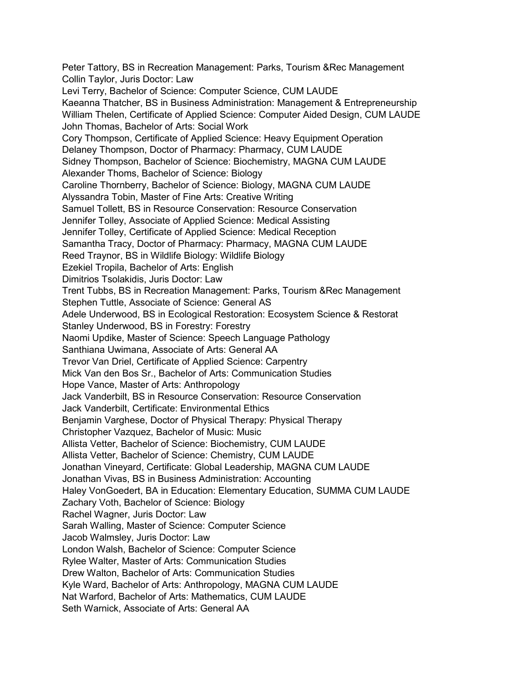Peter Tattory, BS in Recreation Management: Parks, Tourism &Rec Management Collin Taylor, Juris Doctor: Law Levi Terry, Bachelor of Science: Computer Science, CUM LAUDE Kaeanna Thatcher, BS in Business Administration: Management & Entrepreneurship William Thelen, Certificate of Applied Science: Computer Aided Design, CUM LAUDE John Thomas, Bachelor of Arts: Social Work Cory Thompson, Certificate of Applied Science: Heavy Equipment Operation Delaney Thompson, Doctor of Pharmacy: Pharmacy, CUM LAUDE Sidney Thompson, Bachelor of Science: Biochemistry, MAGNA CUM LAUDE Alexander Thoms, Bachelor of Science: Biology Caroline Thornberry, Bachelor of Science: Biology, MAGNA CUM LAUDE Alyssandra Tobin, Master of Fine Arts: Creative Writing Samuel Tollett, BS in Resource Conservation: Resource Conservation Jennifer Tolley, Associate of Applied Science: Medical Assisting Jennifer Tolley, Certificate of Applied Science: Medical Reception Samantha Tracy, Doctor of Pharmacy: Pharmacy, MAGNA CUM LAUDE Reed Traynor, BS in Wildlife Biology: Wildlife Biology Ezekiel Tropila, Bachelor of Arts: English Dimitrios Tsolakidis, Juris Doctor: Law Trent Tubbs, BS in Recreation Management: Parks, Tourism &Rec Management Stephen Tuttle, Associate of Science: General AS Adele Underwood, BS in Ecological Restoration: Ecosystem Science & Restorat Stanley Underwood, BS in Forestry: Forestry Naomi Updike, Master of Science: Speech Language Pathology Santhiana Uwimana, Associate of Arts: General AA Trevor Van Driel, Certificate of Applied Science: Carpentry Mick Van den Bos Sr., Bachelor of Arts: Communication Studies Hope Vance, Master of Arts: Anthropology Jack Vanderbilt, BS in Resource Conservation: Resource Conservation Jack Vanderbilt, Certificate: Environmental Ethics Benjamin Varghese, Doctor of Physical Therapy: Physical Therapy Christopher Vazquez, Bachelor of Music: Music Allista Vetter, Bachelor of Science: Biochemistry, CUM LAUDE Allista Vetter, Bachelor of Science: Chemistry, CUM LAUDE Jonathan Vineyard, Certificate: Global Leadership, MAGNA CUM LAUDE Jonathan Vivas, BS in Business Administration: Accounting Haley VonGoedert, BA in Education: Elementary Education, SUMMA CUM LAUDE Zachary Voth, Bachelor of Science: Biology Rachel Wagner, Juris Doctor: Law Sarah Walling, Master of Science: Computer Science Jacob Walmsley, Juris Doctor: Law London Walsh, Bachelor of Science: Computer Science Rylee Walter, Master of Arts: Communication Studies Drew Walton, Bachelor of Arts: Communication Studies Kyle Ward, Bachelor of Arts: Anthropology, MAGNA CUM LAUDE Nat Warford, Bachelor of Arts: Mathematics, CUM LAUDE Seth Warnick, Associate of Arts: General AA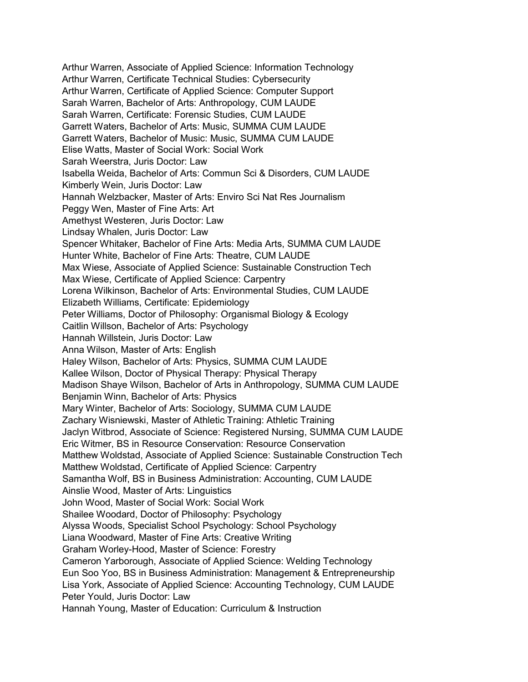Arthur Warren, Associate of Applied Science: Information Technology Arthur Warren, Certificate Technical Studies: Cybersecurity Arthur Warren, Certificate of Applied Science: Computer Support Sarah Warren, Bachelor of Arts: Anthropology, CUM LAUDE Sarah Warren, Certificate: Forensic Studies, CUM LAUDE Garrett Waters, Bachelor of Arts: Music, SUMMA CUM LAUDE Garrett Waters, Bachelor of Music: Music, SUMMA CUM LAUDE Elise Watts, Master of Social Work: Social Work Sarah Weerstra, Juris Doctor: Law Isabella Weida, Bachelor of Arts: Commun Sci & Disorders, CUM LAUDE Kimberly Wein, Juris Doctor: Law Hannah Welzbacker, Master of Arts: Enviro Sci Nat Res Journalism Peggy Wen, Master of Fine Arts: Art Amethyst Westeren, Juris Doctor: Law Lindsay Whalen, Juris Doctor: Law Spencer Whitaker, Bachelor of Fine Arts: Media Arts, SUMMA CUM LAUDE Hunter White, Bachelor of Fine Arts: Theatre, CUM LAUDE Max Wiese, Associate of Applied Science: Sustainable Construction Tech Max Wiese, Certificate of Applied Science: Carpentry Lorena Wilkinson, Bachelor of Arts: Environmental Studies, CUM LAUDE Elizabeth Williams, Certificate: Epidemiology Peter Williams, Doctor of Philosophy: Organismal Biology & Ecology Caitlin Willson, Bachelor of Arts: Psychology Hannah Willstein, Juris Doctor: Law Anna Wilson, Master of Arts: English Haley Wilson, Bachelor of Arts: Physics, SUMMA CUM LAUDE Kallee Wilson, Doctor of Physical Therapy: Physical Therapy Madison Shaye Wilson, Bachelor of Arts in Anthropology, SUMMA CUM LAUDE Benjamin Winn, Bachelor of Arts: Physics Mary Winter, Bachelor of Arts: Sociology, SUMMA CUM LAUDE Zachary Wisniewski, Master of Athletic Training: Athletic Training Jaclyn Witbrod, Associate of Science: Registered Nursing, SUMMA CUM LAUDE Eric Witmer, BS in Resource Conservation: Resource Conservation Matthew Woldstad, Associate of Applied Science: Sustainable Construction Tech Matthew Woldstad, Certificate of Applied Science: Carpentry Samantha Wolf, BS in Business Administration: Accounting, CUM LAUDE Ainslie Wood, Master of Arts: Linguistics John Wood, Master of Social Work: Social Work Shailee Woodard, Doctor of Philosophy: Psychology Alyssa Woods, Specialist School Psychology: School Psychology Liana Woodward, Master of Fine Arts: Creative Writing Graham Worley-Hood, Master of Science: Forestry Cameron Yarborough, Associate of Applied Science: Welding Technology Eun Soo Yoo, BS in Business Administration: Management & Entrepreneurship Lisa York, Associate of Applied Science: Accounting Technology, CUM LAUDE Peter Yould, Juris Doctor: Law Hannah Young, Master of Education: Curriculum & Instruction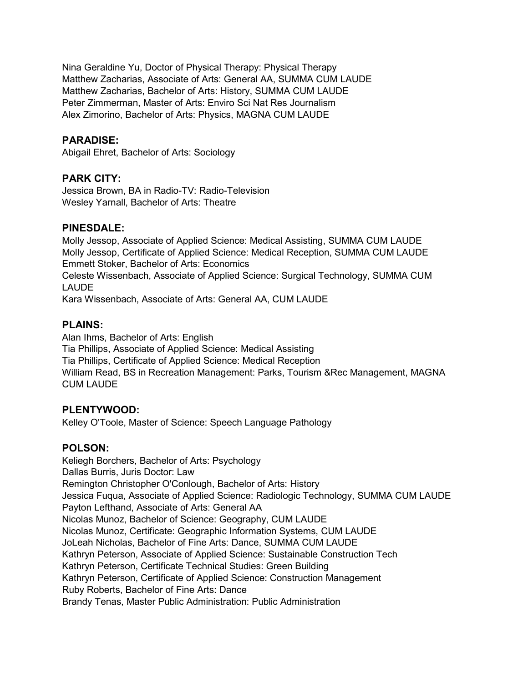Nina Geraldine Yu, Doctor of Physical Therapy: Physical Therapy Matthew Zacharias, Associate of Arts: General AA, SUMMA CUM LAUDE Matthew Zacharias, Bachelor of Arts: History, SUMMA CUM LAUDE Peter Zimmerman, Master of Arts: Enviro Sci Nat Res Journalism Alex Zimorino, Bachelor of Arts: Physics, MAGNA CUM LAUDE

### **PARADISE:**

Abigail Ehret, Bachelor of Arts: Sociology

### **PARK CITY:**

Jessica Brown, BA in Radio-TV: Radio-Television Wesley Yarnall, Bachelor of Arts: Theatre

### **PINESDALE:**

Molly Jessop, Associate of Applied Science: Medical Assisting, SUMMA CUM LAUDE Molly Jessop, Certificate of Applied Science: Medical Reception, SUMMA CUM LAUDE Emmett Stoker, Bachelor of Arts: Economics Celeste Wissenbach, Associate of Applied Science: Surgical Technology, SUMMA CUM LAUDE Kara Wissenbach, Associate of Arts: General AA, CUM LAUDE

### **PLAINS:**

Alan Ihms, Bachelor of Arts: English Tia Phillips, Associate of Applied Science: Medical Assisting Tia Phillips, Certificate of Applied Science: Medical Reception William Read, BS in Recreation Management: Parks, Tourism &Rec Management, MAGNA CUM LAUDE

### **PLENTYWOOD:**

Kelley O'Toole, Master of Science: Speech Language Pathology

# **POLSON:**

Keliegh Borchers, Bachelor of Arts: Psychology Dallas Burris, Juris Doctor: Law Remington Christopher O'Conlough, Bachelor of Arts: History Jessica Fuqua, Associate of Applied Science: Radiologic Technology, SUMMA CUM LAUDE Payton Lefthand, Associate of Arts: General AA Nicolas Munoz, Bachelor of Science: Geography, CUM LAUDE Nicolas Munoz, Certificate: Geographic Information Systems, CUM LAUDE JoLeah Nicholas, Bachelor of Fine Arts: Dance, SUMMA CUM LAUDE Kathryn Peterson, Associate of Applied Science: Sustainable Construction Tech Kathryn Peterson, Certificate Technical Studies: Green Building Kathryn Peterson, Certificate of Applied Science: Construction Management Ruby Roberts, Bachelor of Fine Arts: Dance Brandy Tenas, Master Public Administration: Public Administration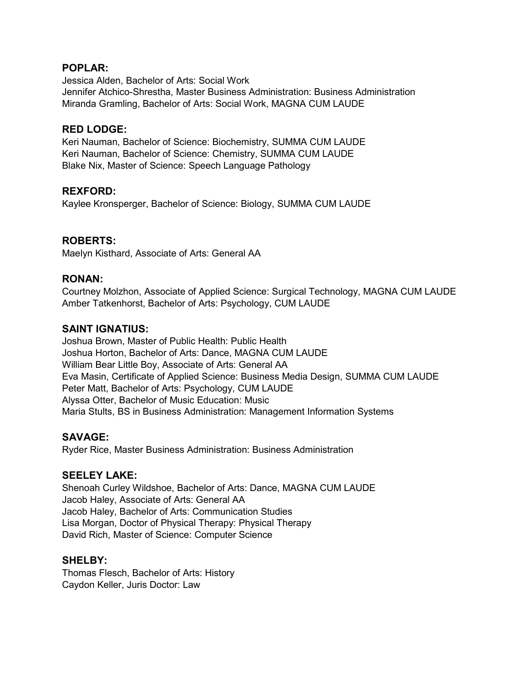### **POPLAR:**

Jessica Alden, Bachelor of Arts: Social Work Jennifer Atchico-Shrestha, Master Business Administration: Business Administration Miranda Gramling, Bachelor of Arts: Social Work, MAGNA CUM LAUDE

### **RED LODGE:**

Keri Nauman, Bachelor of Science: Biochemistry, SUMMA CUM LAUDE Keri Nauman, Bachelor of Science: Chemistry, SUMMA CUM LAUDE Blake Nix, Master of Science: Speech Language Pathology

### **REXFORD:**

Kaylee Kronsperger, Bachelor of Science: Biology, SUMMA CUM LAUDE

### **ROBERTS:**

Maelyn Kisthard, Associate of Arts: General AA

### **RONAN:**

Courtney Molzhon, Associate of Applied Science: Surgical Technology, MAGNA CUM LAUDE Amber Tatkenhorst, Bachelor of Arts: Psychology, CUM LAUDE

### **SAINT IGNATIUS:**

Joshua Brown, Master of Public Health: Public Health Joshua Horton, Bachelor of Arts: Dance, MAGNA CUM LAUDE William Bear Little Boy, Associate of Arts: General AA Eva Masin, Certificate of Applied Science: Business Media Design, SUMMA CUM LAUDE Peter Matt, Bachelor of Arts: Psychology, CUM LAUDE Alyssa Otter, Bachelor of Music Education: Music Maria Stults, BS in Business Administration: Management Information Systems

# **SAVAGE:**

Ryder Rice, Master Business Administration: Business Administration

### **SEELEY LAKE:**

Shenoah Curley Wildshoe, Bachelor of Arts: Dance, MAGNA CUM LAUDE Jacob Haley, Associate of Arts: General AA Jacob Haley, Bachelor of Arts: Communication Studies Lisa Morgan, Doctor of Physical Therapy: Physical Therapy David Rich, Master of Science: Computer Science

### **SHELBY:**

Thomas Flesch, Bachelor of Arts: History Caydon Keller, Juris Doctor: Law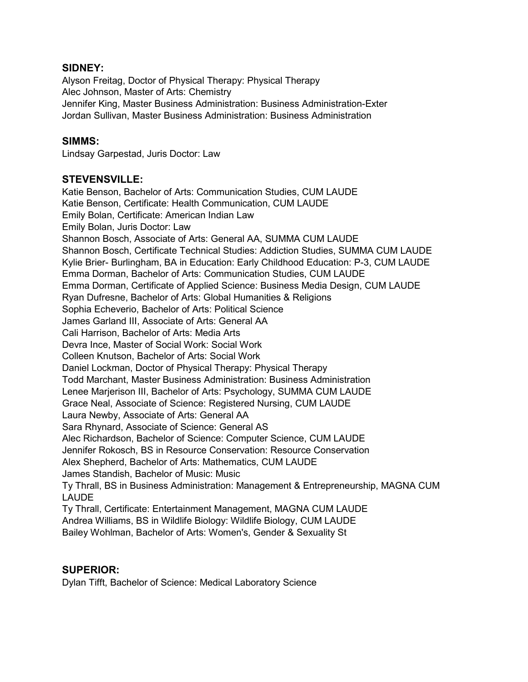### **SIDNEY:**

Alyson Freitag, Doctor of Physical Therapy: Physical Therapy Alec Johnson, Master of Arts: Chemistry Jennifer King, Master Business Administration: Business Administration-Exter Jordan Sullivan, Master Business Administration: Business Administration

### **SIMMS:**

Lindsay Garpestad, Juris Doctor: Law

### **STEVENSVILLE:**

Katie Benson, Bachelor of Arts: Communication Studies, CUM LAUDE Katie Benson, Certificate: Health Communication, CUM LAUDE Emily Bolan, Certificate: American Indian Law Emily Bolan, Juris Doctor: Law Shannon Bosch, Associate of Arts: General AA, SUMMA CUM LAUDE Shannon Bosch, Certificate Technical Studies: Addiction Studies, SUMMA CUM LAUDE Kylie Brier- Burlingham, BA in Education: Early Childhood Education: P-3, CUM LAUDE Emma Dorman, Bachelor of Arts: Communication Studies, CUM LAUDE Emma Dorman, Certificate of Applied Science: Business Media Design, CUM LAUDE Ryan Dufresne, Bachelor of Arts: Global Humanities & Religions Sophia Echeverio, Bachelor of Arts: Political Science James Garland III, Associate of Arts: General AA Cali Harrison, Bachelor of Arts: Media Arts Devra Ince, Master of Social Work: Social Work Colleen Knutson, Bachelor of Arts: Social Work Daniel Lockman, Doctor of Physical Therapy: Physical Therapy Todd Marchant, Master Business Administration: Business Administration Lenee Marjerison III, Bachelor of Arts: Psychology, SUMMA CUM LAUDE Grace Neal, Associate of Science: Registered Nursing, CUM LAUDE Laura Newby, Associate of Arts: General AA Sara Rhynard, Associate of Science: General AS Alec Richardson, Bachelor of Science: Computer Science, CUM LAUDE Jennifer Rokosch, BS in Resource Conservation: Resource Conservation Alex Shepherd, Bachelor of Arts: Mathematics, CUM LAUDE James Standish, Bachelor of Music: Music Ty Thrall, BS in Business Administration: Management & Entrepreneurship, MAGNA CUM LAUDE Ty Thrall, Certificate: Entertainment Management, MAGNA CUM LAUDE Andrea Williams, BS in Wildlife Biology: Wildlife Biology, CUM LAUDE Bailey Wohlman, Bachelor of Arts: Women's, Gender & Sexuality St

### **SUPERIOR:**

Dylan Tifft, Bachelor of Science: Medical Laboratory Science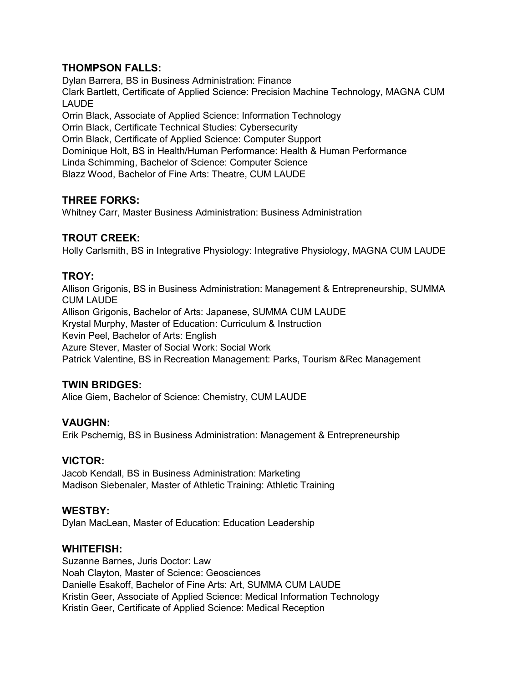# **THOMPSON FALLS:**

Dylan Barrera, BS in Business Administration: Finance Clark Bartlett, Certificate of Applied Science: Precision Machine Technology, MAGNA CUM LAUDE Orrin Black, Associate of Applied Science: Information Technology Orrin Black, Certificate Technical Studies: Cybersecurity Orrin Black, Certificate of Applied Science: Computer Support Dominique Holt, BS in Health/Human Performance: Health & Human Performance Linda Schimming, Bachelor of Science: Computer Science Blazz Wood, Bachelor of Fine Arts: Theatre, CUM LAUDE

# **THREE FORKS:**

Whitney Carr, Master Business Administration: Business Administration

# **TROUT CREEK:**

Holly Carlsmith, BS in Integrative Physiology: Integrative Physiology, MAGNA CUM LAUDE

# **TROY:**

Allison Grigonis, BS in Business Administration: Management & Entrepreneurship, SUMMA CUM LAUDE Allison Grigonis, Bachelor of Arts: Japanese, SUMMA CUM LAUDE Krystal Murphy, Master of Education: Curriculum & Instruction Kevin Peel, Bachelor of Arts: English Azure Stever, Master of Social Work: Social Work Patrick Valentine, BS in Recreation Management: Parks, Tourism &Rec Management

# **TWIN BRIDGES:**

Alice Giem, Bachelor of Science: Chemistry, CUM LAUDE

# **VAUGHN:**

Erik Pschernig, BS in Business Administration: Management & Entrepreneurship

# **VICTOR:**

Jacob Kendall, BS in Business Administration: Marketing Madison Siebenaler, Master of Athletic Training: Athletic Training

# **WESTBY:**

Dylan MacLean, Master of Education: Education Leadership

# **WHITEFISH:**

Suzanne Barnes, Juris Doctor: Law Noah Clayton, Master of Science: Geosciences Danielle Esakoff, Bachelor of Fine Arts: Art, SUMMA CUM LAUDE Kristin Geer, Associate of Applied Science: Medical Information Technology Kristin Geer, Certificate of Applied Science: Medical Reception